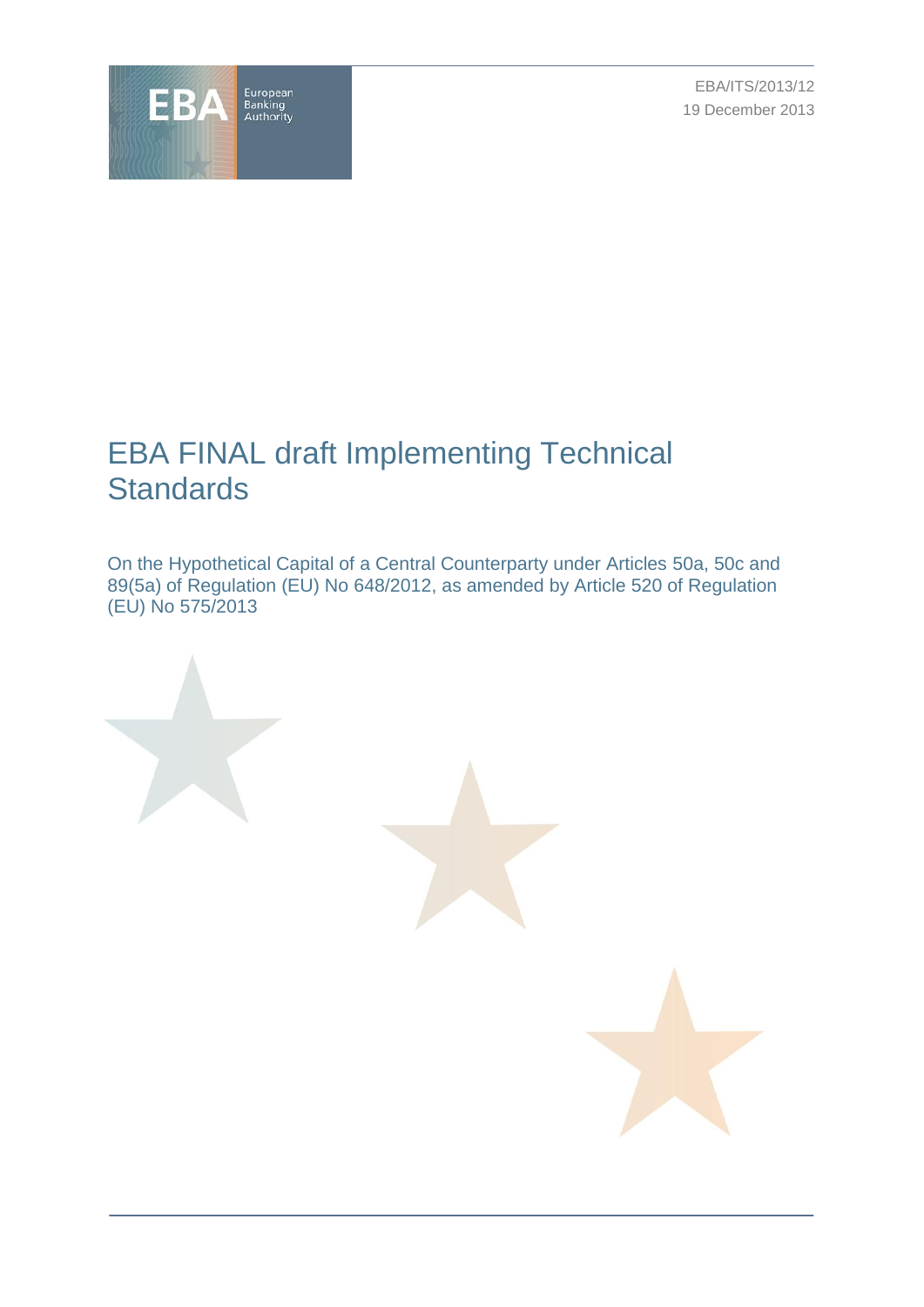

EBA/ITS/2013/12 19 December 2013

# EBA FINAL draft Implementing Technical **Standards**

On the Hypothetical Capital of a Central Counterparty under Articles 50a, 50c and 89(5a) of Regulation (EU) No 648/2012, as amended by Article 520 of Regulation (EU) No 575/2013

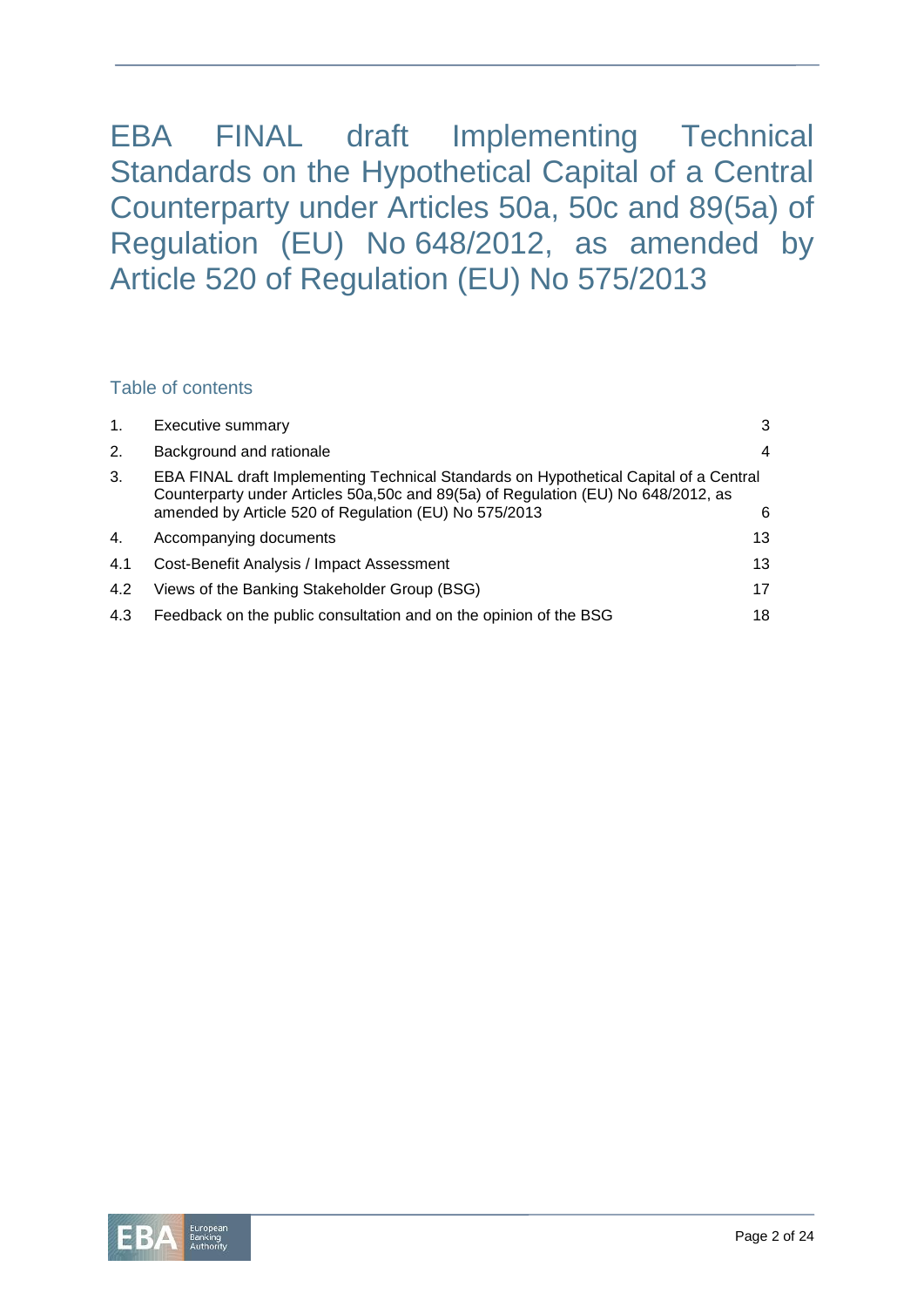EBA FINAL draft Implementing Technical Standards on the Hypothetical Capital of a Central Counterparty under Articles 50a, 50c and 89(5a) of Regulation (EU) No 648/2012, as amended by Article 520 of Regulation (EU) No 575/2013

# Table of contents

| 1.  | Executive summary                                                                                                                                                                                                                    | 3  |
|-----|--------------------------------------------------------------------------------------------------------------------------------------------------------------------------------------------------------------------------------------|----|
| 2.  | Background and rationale                                                                                                                                                                                                             | 4  |
| 3.  | EBA FINAL draft Implementing Technical Standards on Hypothetical Capital of a Central<br>Counterparty under Articles 50a, 50c and 89(5a) of Regulation (EU) No 648/2012, as<br>amended by Article 520 of Regulation (EU) No 575/2013 | 6  |
| 4.  | Accompanying documents                                                                                                                                                                                                               | 13 |
| 4.1 | Cost-Benefit Analysis / Impact Assessment                                                                                                                                                                                            | 13 |
| 4.2 | Views of the Banking Stakeholder Group (BSG)                                                                                                                                                                                         | 17 |
| 4.3 | Feedback on the public consultation and on the opinion of the BSG                                                                                                                                                                    | 18 |

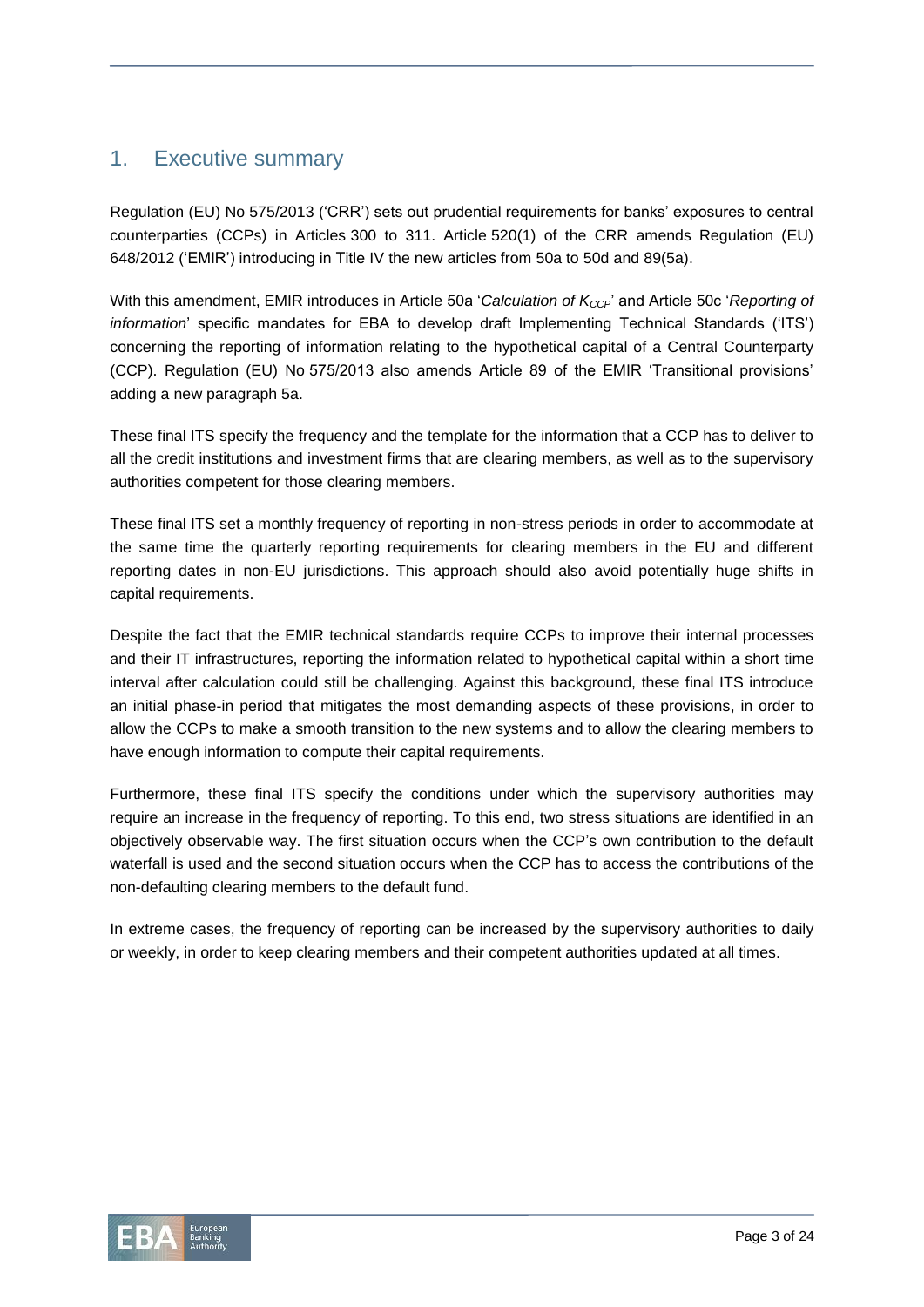# 1. Executive summary

Regulation (EU) No 575/2013 ('CRR') sets out prudential requirements for banks' exposures to central counterparties (CCPs) in Articles 300 to 311. Article 520(1) of the CRR amends Regulation (EU) 648/2012 ('EMIR') introducing in Title IV the new articles from 50a to 50d and 89(5a).

With this amendment, EMIR introduces in Article 50a '*Calculation of KCCP*' and Article 50c '*Reporting of information*' specific mandates for EBA to develop draft Implementing Technical Standards ('ITS') concerning the reporting of information relating to the hypothetical capital of a Central Counterparty (CCP). Regulation (EU) No 575/2013 also amends Article 89 of the EMIR 'Transitional provisions' adding a new paragraph 5a.

These final ITS specify the frequency and the template for the information that a CCP has to deliver to all the credit institutions and investment firms that are clearing members, as well as to the supervisory authorities competent for those clearing members.

These final ITS set a monthly frequency of reporting in non-stress periods in order to accommodate at the same time the quarterly reporting requirements for clearing members in the EU and different reporting dates in non-EU jurisdictions. This approach should also avoid potentially huge shifts in capital requirements.

Despite the fact that the EMIR technical standards require CCPs to improve their internal processes and their IT infrastructures, reporting the information related to hypothetical capital within a short time interval after calculation could still be challenging. Against this background, these final ITS introduce an initial phase-in period that mitigates the most demanding aspects of these provisions, in order to allow the CCPs to make a smooth transition to the new systems and to allow the clearing members to have enough information to compute their capital requirements.

Furthermore, these final ITS specify the conditions under which the supervisory authorities may require an increase in the frequency of reporting. To this end, two stress situations are identified in an objectively observable way. The first situation occurs when the CCP's own contribution to the default waterfall is used and the second situation occurs when the CCP has to access the contributions of the non-defaulting clearing members to the default fund.

In extreme cases, the frequency of reporting can be increased by the supervisory authorities to daily or weekly, in order to keep clearing members and their competent authorities updated at all times.

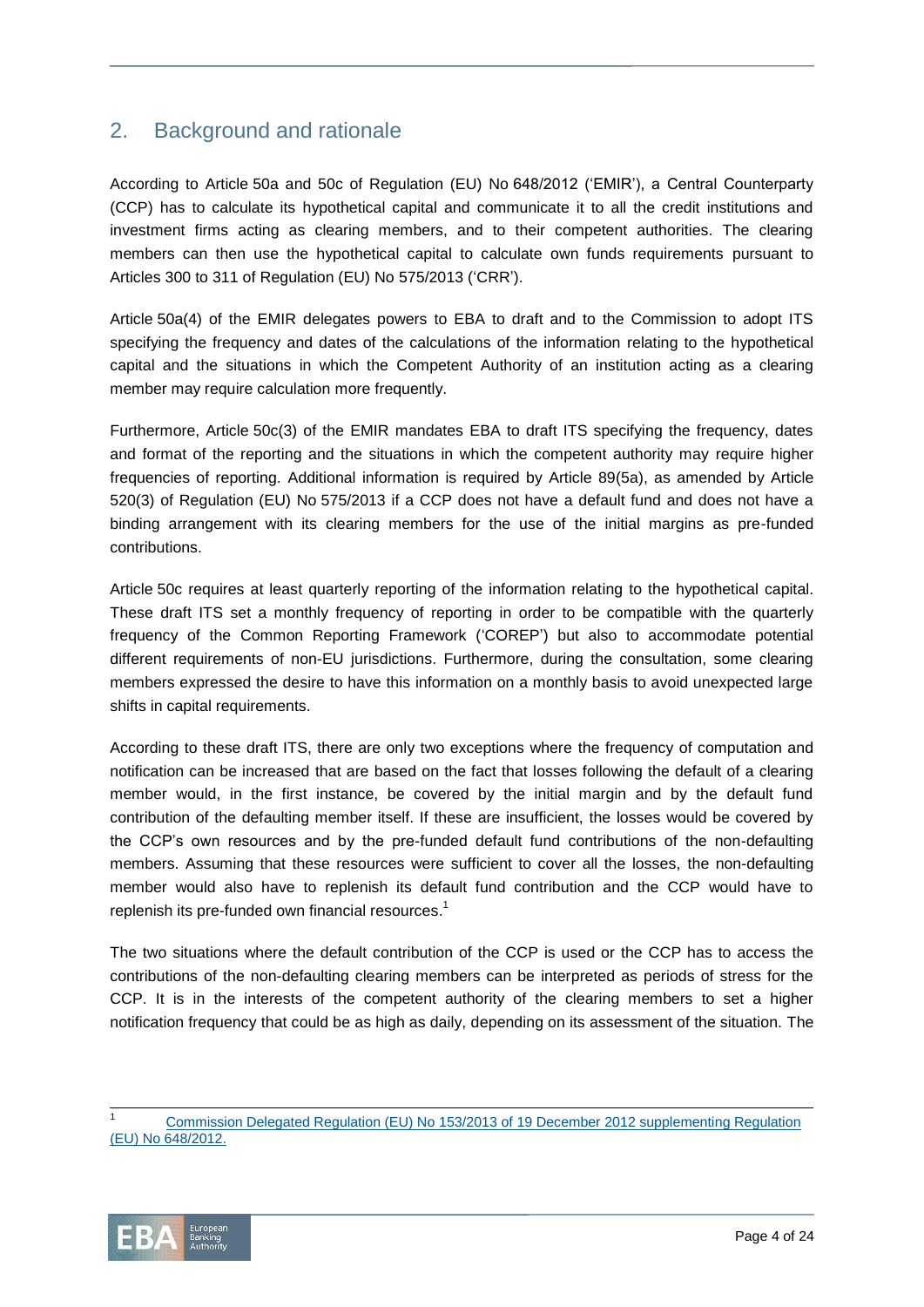# 2. Background and rationale

According to Article 50a and 50c of Regulation (EU) No 648/2012 ('EMIR'), a Central Counterparty (CCP) has to calculate its hypothetical capital and communicate it to all the credit institutions and investment firms acting as clearing members, and to their competent authorities. The clearing members can then use the hypothetical capital to calculate own funds requirements pursuant to Articles 300 to 311 of Regulation (EU) No 575/2013 ('CRR').

Article 50a(4) of the EMIR delegates powers to EBA to draft and to the Commission to adopt ITS specifying the frequency and dates of the calculations of the information relating to the hypothetical capital and the situations in which the Competent Authority of an institution acting as a clearing member may require calculation more frequently.

Furthermore, Article 50c(3) of the EMIR mandates EBA to draft ITS specifying the frequency, dates and format of the reporting and the situations in which the competent authority may require higher frequencies of reporting. Additional information is required by Article 89(5a), as amended by Article 520(3) of Regulation (EU) No 575/2013 if a CCP does not have a default fund and does not have a binding arrangement with its clearing members for the use of the initial margins as pre-funded contributions.

Article 50c requires at least quarterly reporting of the information relating to the hypothetical capital. These draft ITS set a monthly frequency of reporting in order to be compatible with the quarterly frequency of the Common Reporting Framework ('COREP') but also to accommodate potential different requirements of non-EU jurisdictions. Furthermore, during the consultation, some clearing members expressed the desire to have this information on a monthly basis to avoid unexpected large shifts in capital requirements.

According to these draft ITS, there are only two exceptions where the frequency of computation and notification can be increased that are based on the fact that losses following the default of a clearing member would, in the first instance, be covered by the initial margin and by the default fund contribution of the defaulting member itself. If these are insufficient, the losses would be covered by the CCP's own resources and by the pre-funded default fund contributions of the non-defaulting members. Assuming that these resources were sufficient to cover all the losses, the non-defaulting member would also have to replenish its default fund contribution and the CCP would have to replenish its pre-funded own financial resources.<sup>1</sup>

The two situations where the default contribution of the CCP is used or the CCP has to access the contributions of the non-defaulting clearing members can be interpreted as periods of stress for the CCP. It is in the interests of the competent authority of the clearing members to set a higher notification frequency that could be as high as daily, depending on its assessment of the situation. The



 $\overline{a}$ 

[Commission Delegated Regulation \(EU\) No](http://eur-lex.europa.eu/JOHtml.do?uri=OJ:L:2013:052:SOM:EN:HTML) 153/2013 of 19 December 2012 supplementing Regulation (EU) No [648/2012.](http://eur-lex.europa.eu/JOHtml.do?uri=OJ:L:2013:052:SOM:EN:HTML)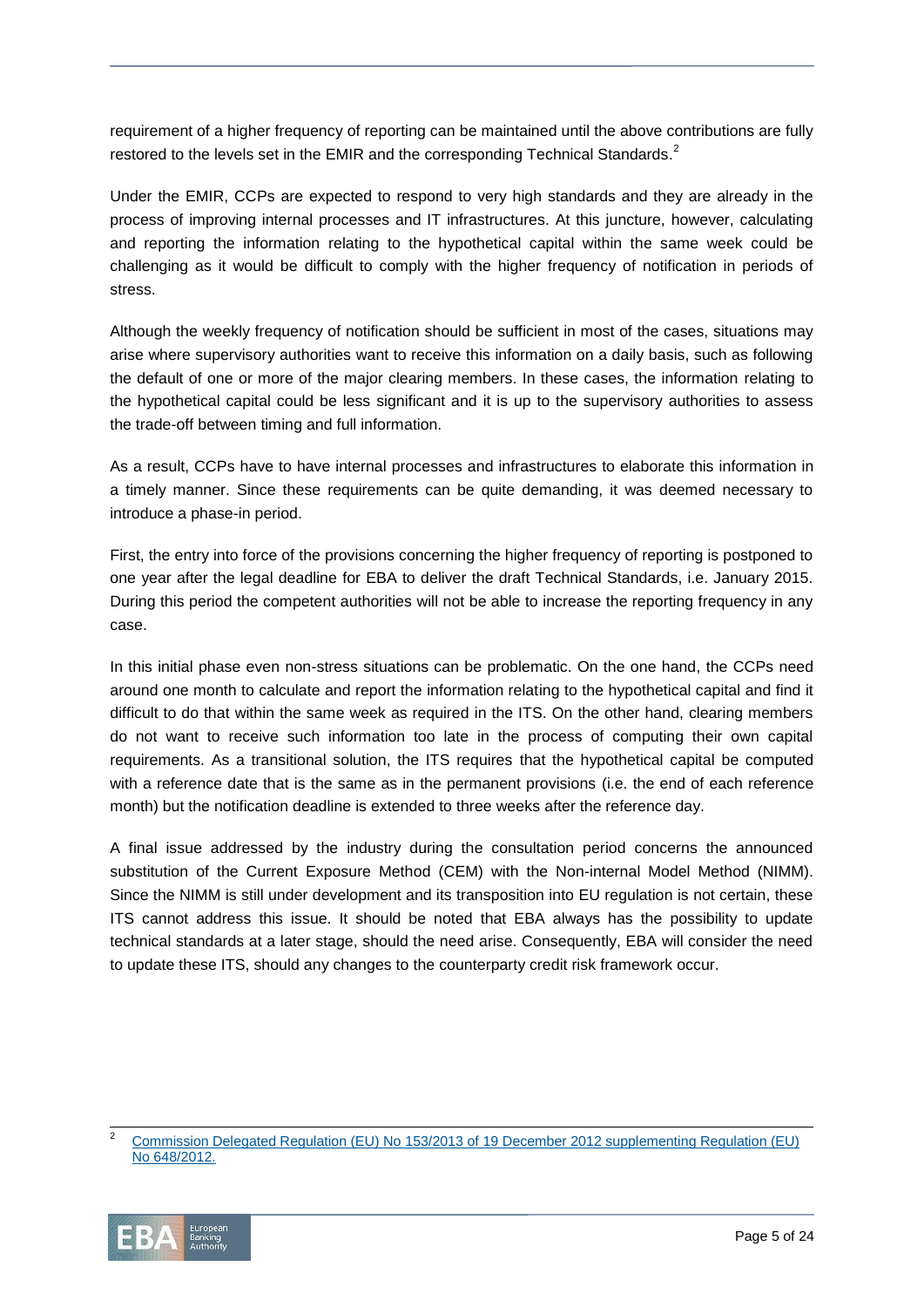requirement of a higher frequency of reporting can be maintained until the above contributions are fully restored to the levels set in the EMIR and the corresponding Technical Standards.<sup>2</sup>

Under the EMIR, CCPs are expected to respond to very high standards and they are already in the process of improving internal processes and IT infrastructures. At this juncture, however, calculating and reporting the information relating to the hypothetical capital within the same week could be challenging as it would be difficult to comply with the higher frequency of notification in periods of stress.

Although the weekly frequency of notification should be sufficient in most of the cases, situations may arise where supervisory authorities want to receive this information on a daily basis, such as following the default of one or more of the major clearing members. In these cases, the information relating to the hypothetical capital could be less significant and it is up to the supervisory authorities to assess the trade-off between timing and full information.

As a result, CCPs have to have internal processes and infrastructures to elaborate this information in a timely manner. Since these requirements can be quite demanding, it was deemed necessary to introduce a phase-in period.

First, the entry into force of the provisions concerning the higher frequency of reporting is postponed to one year after the legal deadline for EBA to deliver the draft Technical Standards, i.e. January 2015. During this period the competent authorities will not be able to increase the reporting frequency in any case.

In this initial phase even non-stress situations can be problematic. On the one hand, the CCPs need around one month to calculate and report the information relating to the hypothetical capital and find it difficult to do that within the same week as required in the ITS. On the other hand, clearing members do not want to receive such information too late in the process of computing their own capital requirements. As a transitional solution, the ITS requires that the hypothetical capital be computed with a reference date that is the same as in the permanent provisions (i.e. the end of each reference month) but the notification deadline is extended to three weeks after the reference day.

A final issue addressed by the industry during the consultation period concerns the announced substitution of the Current Exposure Method (CEM) with the Non-internal Model Method (NIMM). Since the NIMM is still under development and its transposition into EU regulation is not certain, these ITS cannot address this issue. It should be noted that EBA always has the possibility to update technical standards at a later stage, should the need arise. Consequently, EBA will consider the need to update these ITS, should any changes to the counterparty credit risk framework occur.

<sup>2</sup> [Commission Delegated Regulation \(EU\) No](http://eur-lex.europa.eu/JOHtml.do?uri=OJ:L:2013:052:SOM:EN:HTML) 153/2013 of 19 December 2012 supplementing Regulation (EU) No [648/2012.](http://eur-lex.europa.eu/JOHtml.do?uri=OJ:L:2013:052:SOM:EN:HTML)



 $\overline{a}$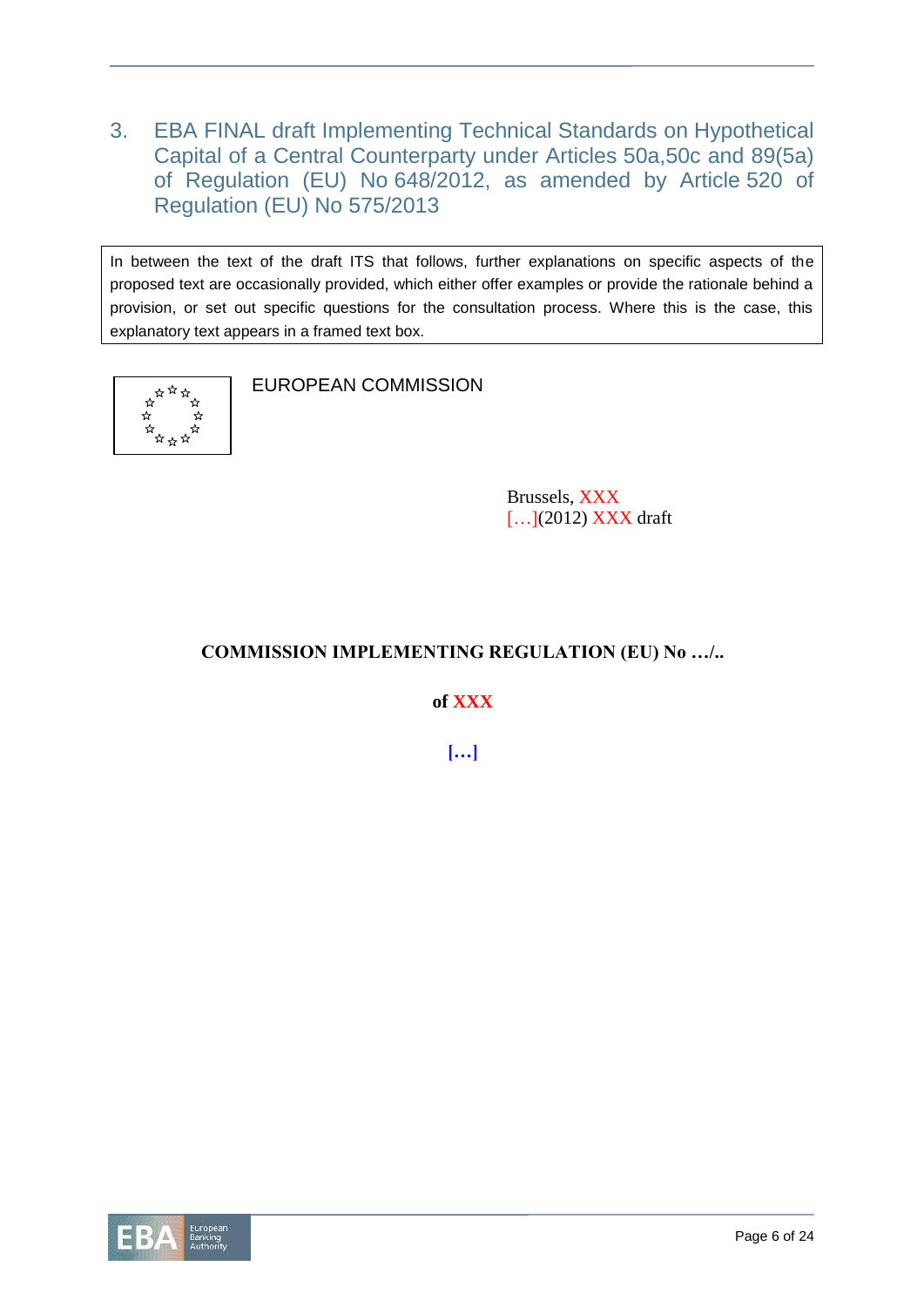3. EBA FINAL draft Implementing Technical Standards on Hypothetical Capital of a Central Counterparty under Articles 50a,50c and 89(5a) of Regulation (EU) No 648/2012, as amended by Article 520 of Regulation (EU) No 575/2013

In between the text of the draft ITS that follows, further explanations on specific aspects of the proposed text are occasionally provided, which either offer examples or provide the rationale behind a provision, or set out specific questions for the consultation process. Where this is the case, this explanatory text appears in a framed text box.



EUROPEAN COMMISSION

Brussels, XXX [...](2012) **XXX** draft

# **COMMISSION IMPLEMENTING REGULATION (EU) No …/..**

**of XXX**

**[…]**

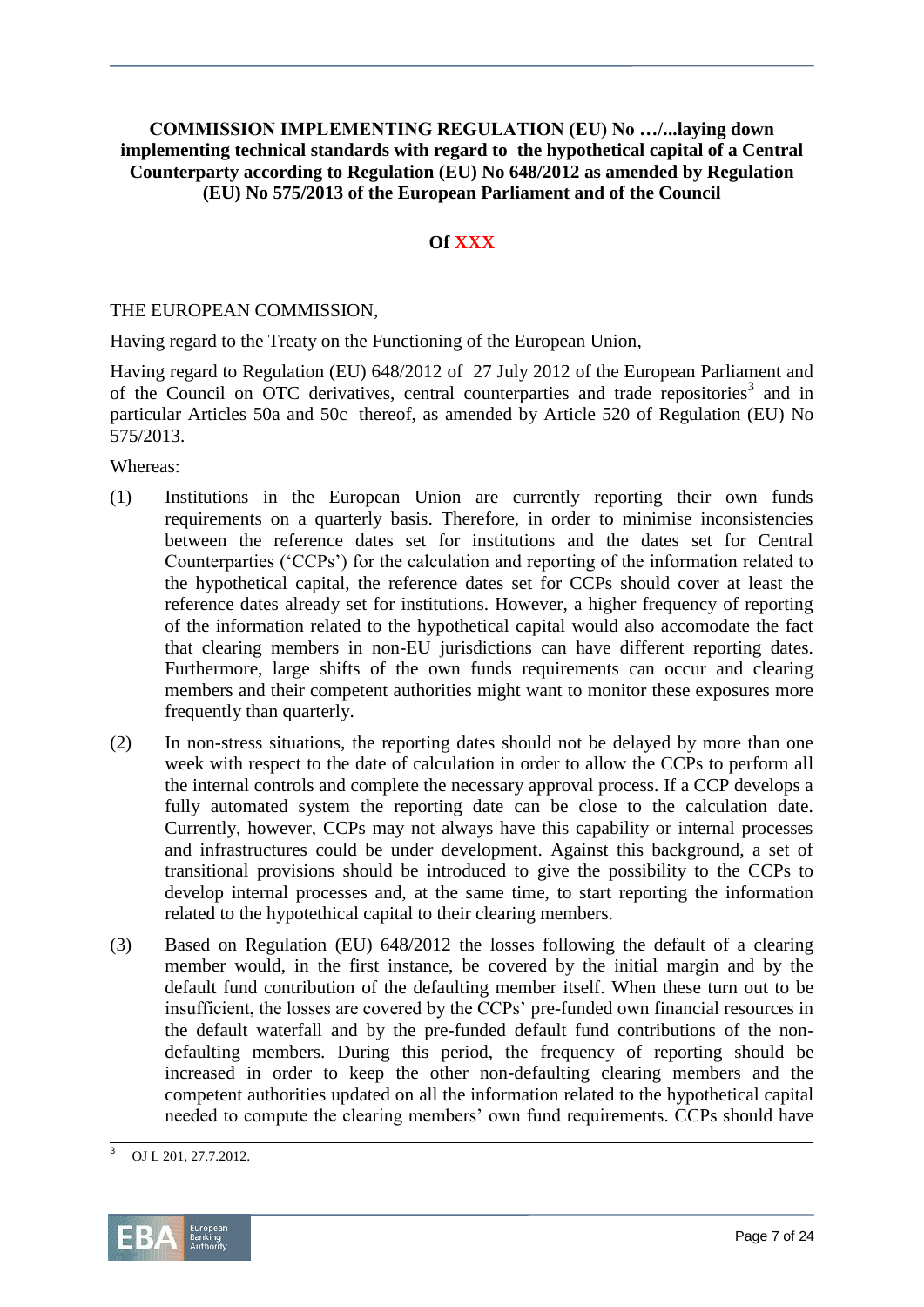# **COMMISSION IMPLEMENTING REGULATION (EU) No …/...laying down implementing technical standards with regard to the hypothetical capital of a Central Counterparty according to Regulation (EU) No 648/2012 as amended by Regulation (EU) No 575/2013 of the European Parliament and of the Council**

# **Of XXX**

### THE EUROPEAN COMMISSION,

Having regard to the Treaty on the Functioning of the European Union,

Having regard to Regulation (EU) 648/2012 of 27 July 2012 of the European Parliament and of the Council on OTC derivatives, central counterparties and trade repositories<sup>3</sup> and in particular Articles 50a and 50c thereof, as amended by Article 520 of Regulation (EU) No 575/2013.

Whereas:

- (1) Institutions in the European Union are currently reporting their own funds requirements on a quarterly basis. Therefore, in order to minimise inconsistencies between the reference dates set for institutions and the dates set for Central Counterparties ('CCPs') for the calculation and reporting of the information related to the hypothetical capital, the reference dates set for CCPs should cover at least the reference dates already set for institutions. However, a higher frequency of reporting of the information related to the hypothetical capital would also accomodate the fact that clearing members in non-EU jurisdictions can have different reporting dates. Furthermore, large shifts of the own funds requirements can occur and clearing members and their competent authorities might want to monitor these exposures more frequently than quarterly.
- (2) In non-stress situations, the reporting dates should not be delayed by more than one week with respect to the date of calculation in order to allow the CCPs to perform all the internal controls and complete the necessary approval process. If a CCP develops a fully automated system the reporting date can be close to the calculation date. Currently, however, CCPs may not always have this capability or internal processes and infrastructures could be under development. Against this background, a set of transitional provisions should be introduced to give the possibility to the CCPs to develop internal processes and, at the same time, to start reporting the information related to the hypotethical capital to their clearing members.
- (3) Based on Regulation (EU) 648/2012 the losses following the default of a clearing member would, in the first instance, be covered by the initial margin and by the default fund contribution of the defaulting member itself. When these turn out to be insufficient, the losses are covered by the CCPs' pre-funded own financial resources in the default waterfall and by the pre-funded default fund contributions of the nondefaulting members. During this period, the frequency of reporting should be increased in order to keep the other non-defaulting clearing members and the competent authorities updated on all the information related to the hypothetical capital needed to compute the clearing members' own fund requirements. CCPs should have

 $\overline{3}$ <sup>3</sup> OJ L 201, 27.7.2012.

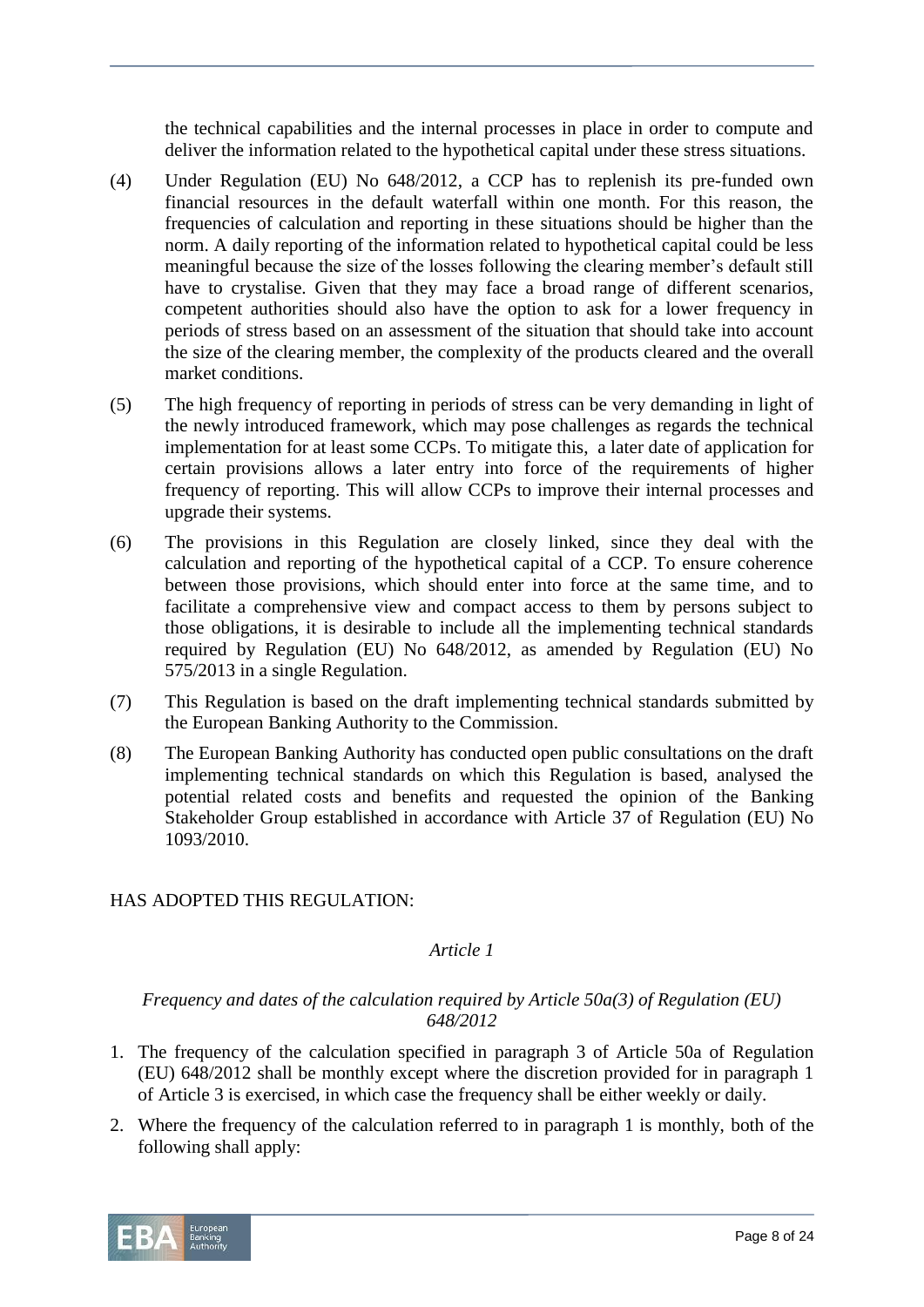the technical capabilities and the internal processes in place in order to compute and deliver the information related to the hypothetical capital under these stress situations.

- (4) Under Regulation (EU) No 648/2012, a CCP has to replenish its pre-funded own financial resources in the default waterfall within one month. For this reason, the frequencies of calculation and reporting in these situations should be higher than the norm. A daily reporting of the information related to hypothetical capital could be less meaningful because the size of the losses following the clearing member's default still have to crystalise. Given that they may face a broad range of different scenarios, competent authorities should also have the option to ask for a lower frequency in periods of stress based on an assessment of the situation that should take into account the size of the clearing member, the complexity of the products cleared and the overall market conditions.
- (5) The high frequency of reporting in periods of stress can be very demanding in light of the newly introduced framework, which may pose challenges as regards the technical implementation for at least some CCPs. To mitigate this, a later date of application for certain provisions allows a later entry into force of the requirements of higher frequency of reporting. This will allow CCPs to improve their internal processes and upgrade their systems.
- (6) The provisions in this Regulation are closely linked, since they deal with the calculation and reporting of the hypothetical capital of a CCP. To ensure coherence between those provisions, which should enter into force at the same time, and to facilitate a comprehensive view and compact access to them by persons subject to those obligations, it is desirable to include all the implementing technical standards required by Regulation (EU) No 648/2012, as amended by Regulation (EU) No 575/2013 in a single Regulation.
- (7) This Regulation is based on the draft implementing technical standards submitted by the European Banking Authority to the Commission.
- (8) The European Banking Authority has conducted open public consultations on the draft implementing technical standards on which this Regulation is based, analysed the potential related costs and benefits and requested the opinion of the Banking Stakeholder Group established in accordance with Article 37 of Regulation (EU) No 1093/2010.

# HAS ADOPTED THIS REGULATION:

# *Article 1*

# *Frequency and dates of the calculation required by Article 50a(3) of Regulation (EU) 648/2012*

- 1. The frequency of the calculation specified in paragraph 3 of Article 50a of Regulation (EU) 648/2012 shall be monthly except where the discretion provided for in paragraph 1 of Article 3 is exercised, in which case the frequency shall be either weekly or daily.
- 2. Where the frequency of the calculation referred to in paragraph 1 is monthly, both of the following shall apply:

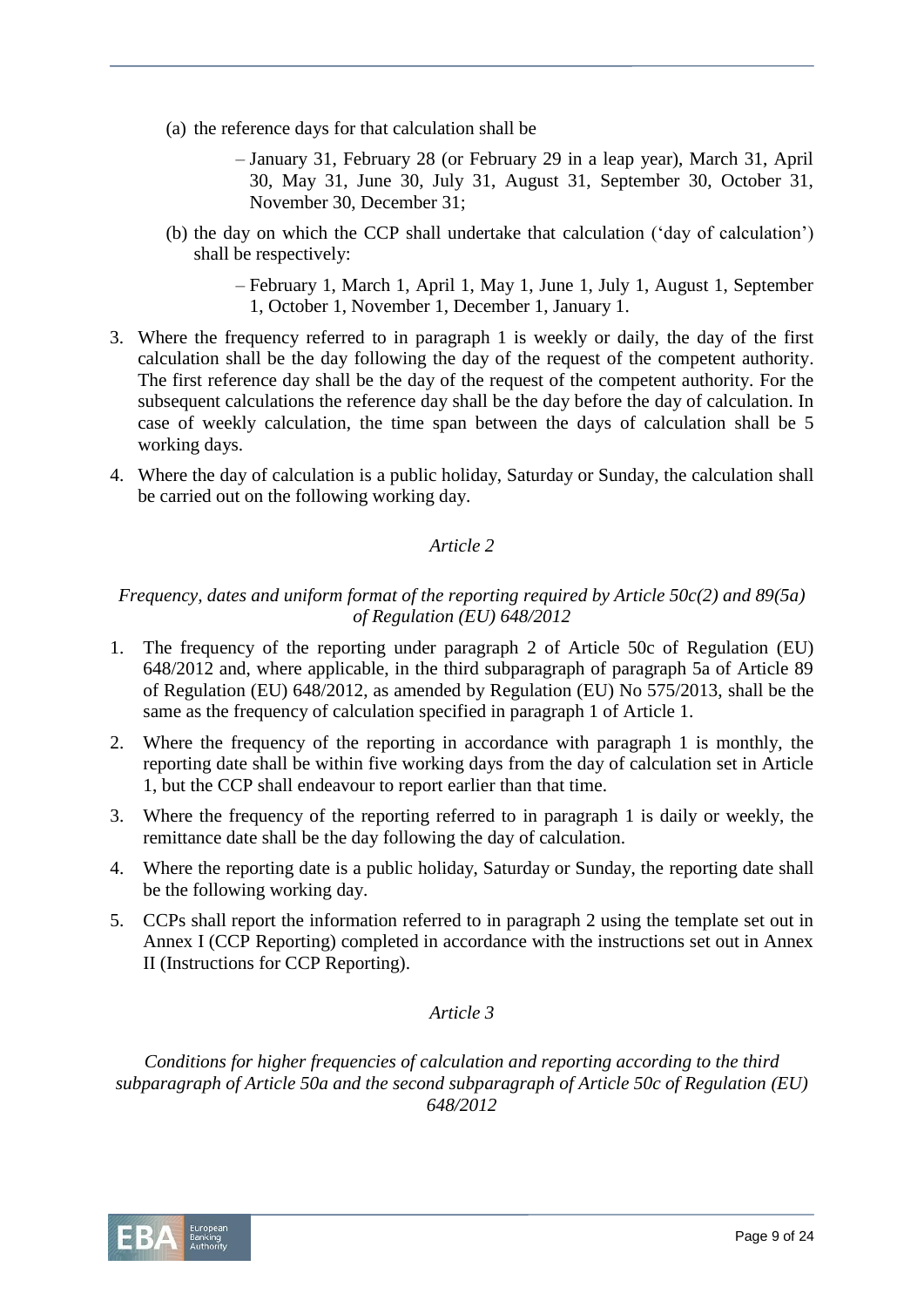- (a) the reference days for that calculation shall be
	- January 31, February 28 (or February 29 in a leap year), March 31, April 30, May 31, June 30, July 31, August 31, September 30, October 31, November 30, December 31;
- (b) the day on which the CCP shall undertake that calculation ('day of calculation') shall be respectively:
	- February 1, March 1, April 1, May 1, June 1, July 1, August 1, September 1, October 1, November 1, December 1, January 1.
- 3. Where the frequency referred to in paragraph 1 is weekly or daily, the day of the first calculation shall be the day following the day of the request of the competent authority. The first reference day shall be the day of the request of the competent authority. For the subsequent calculations the reference day shall be the day before the day of calculation. In case of weekly calculation, the time span between the days of calculation shall be 5 working days.
- 4. Where the day of calculation is a public holiday, Saturday or Sunday, the calculation shall be carried out on the following working day.

# *Article 2*

# *Frequency, dates and uniform format of the reporting required by Article 50c(2) and 89(5a) of Regulation (EU) 648/2012*

- 1. The frequency of the reporting under paragraph 2 of Article 50c of Regulation (EU) 648/2012 and, where applicable, in the third subparagraph of paragraph 5a of Article 89 of Regulation (EU) 648/2012, as amended by Regulation (EU) No 575/2013, shall be the same as the frequency of calculation specified in paragraph 1 of Article 1.
- 2. Where the frequency of the reporting in accordance with paragraph 1 is monthly, the reporting date shall be within five working days from the day of calculation set in Article 1, but the CCP shall endeavour to report earlier than that time.
- 3. Where the frequency of the reporting referred to in paragraph 1 is daily or weekly, the remittance date shall be the day following the day of calculation.
- 4. Where the reporting date is a public holiday, Saturday or Sunday, the reporting date shall be the following working day.
- 5. CCPs shall report the information referred to in paragraph 2 using the template set out in Annex I (CCP Reporting) completed in accordance with the instructions set out in Annex II (Instructions for CCP Reporting).

# *Article 3*

*Conditions for higher frequencies of calculation and reporting according to the third subparagraph of Article 50a and the second subparagraph of Article 50c of Regulation (EU) 648/2012*

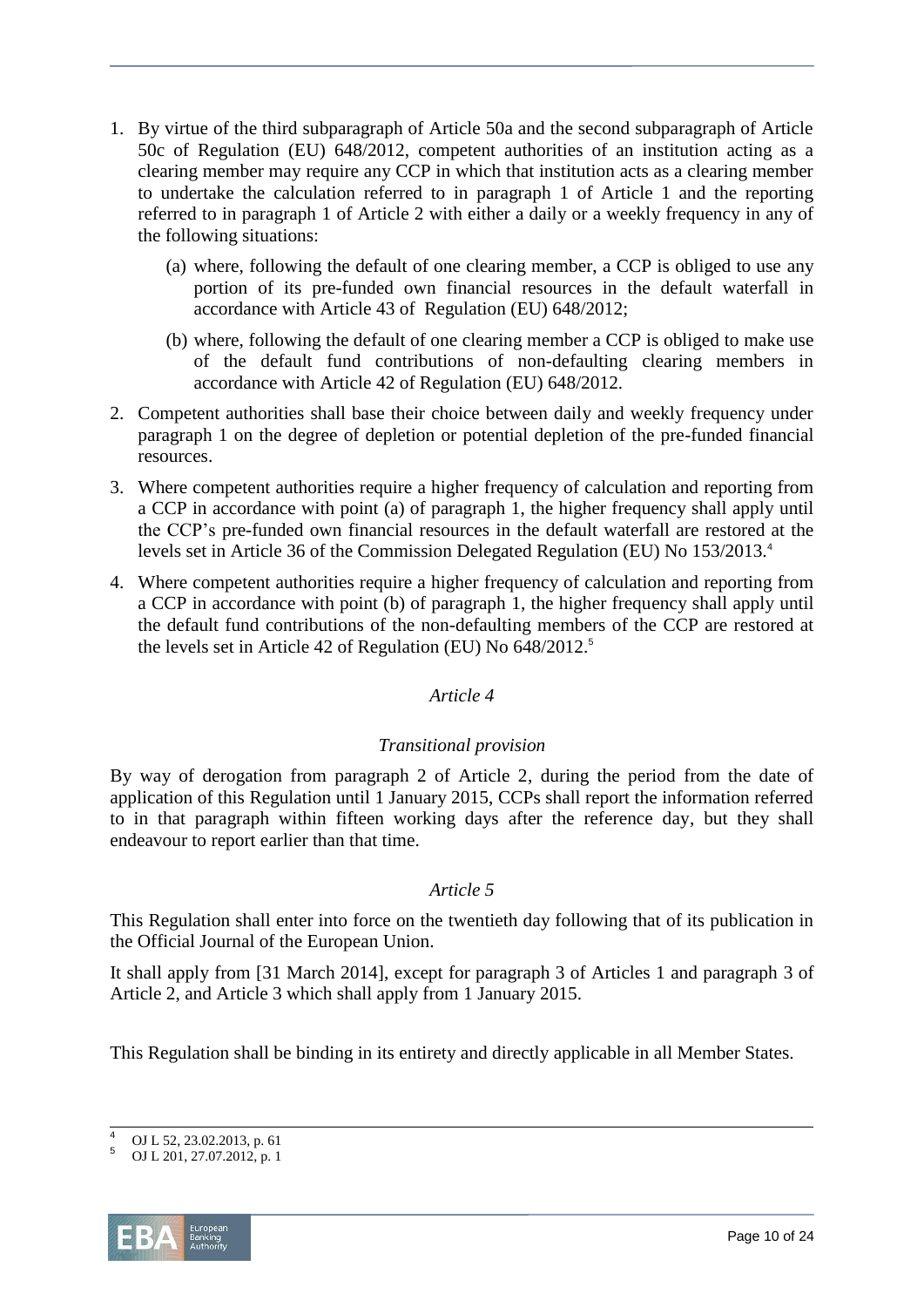- 1. By virtue of the third subparagraph of Article 50a and the second subparagraph of Article 50c of Regulation (EU) 648/2012, competent authorities of an institution acting as a clearing member may require any CCP in which that institution acts as a clearing member to undertake the calculation referred to in paragraph 1 of Article 1 and the reporting referred to in paragraph 1 of Article 2 with either a daily or a weekly frequency in any of the following situations:
	- (a) where, following the default of one clearing member, a CCP is obliged to use any portion of its pre-funded own financial resources in the default waterfall in accordance with Article 43 of Regulation (EU) 648/2012;
	- (b) where, following the default of one clearing member a CCP is obliged to make use of the default fund contributions of non-defaulting clearing members in accordance with Article 42 of Regulation (EU) 648/2012.
- 2. Competent authorities shall base their choice between daily and weekly frequency under paragraph 1 on the degree of depletion or potential depletion of the pre-funded financial resources.
- 3. Where competent authorities require a higher frequency of calculation and reporting from a CCP in accordance with point (a) of paragraph 1, the higher frequency shall apply until the CCP's pre-funded own financial resources in the default waterfall are restored at the levels set in Article 36 of the Commission Delegated Regulation (EU) No 153/2013.<sup>4</sup>
- 4. Where competent authorities require a higher frequency of calculation and reporting from a CCP in accordance with point (b) of paragraph 1, the higher frequency shall apply until the default fund contributions of the non-defaulting members of the CCP are restored at the levels set in Article 42 of Regulation (EU) No 648/2012.<sup>5</sup>

# *Article 4*

# *Transitional provision*

By way of derogation from paragraph 2 of Article 2, during the period from the date of application of this Regulation until 1 January 2015, CCPs shall report the information referred to in that paragraph within fifteen working days after the reference day, but they shall endeavour to report earlier than that time.

# *Article 5*

This Regulation shall enter into force on the twentieth day following that of its publication in the Official Journal of the European Union.

It shall apply from [31 March 2014], except for paragraph 3 of Articles 1 and paragraph 3 of Article 2, and Article 3 which shall apply from 1 January 2015.

This Regulation shall be binding in its entirety and directly applicable in all Member States.

OJ L 201, 27.07.2012, p. 1



 $\overline{a}$ <sup>4</sup> OJ L 52, 23.02.2013, p. 61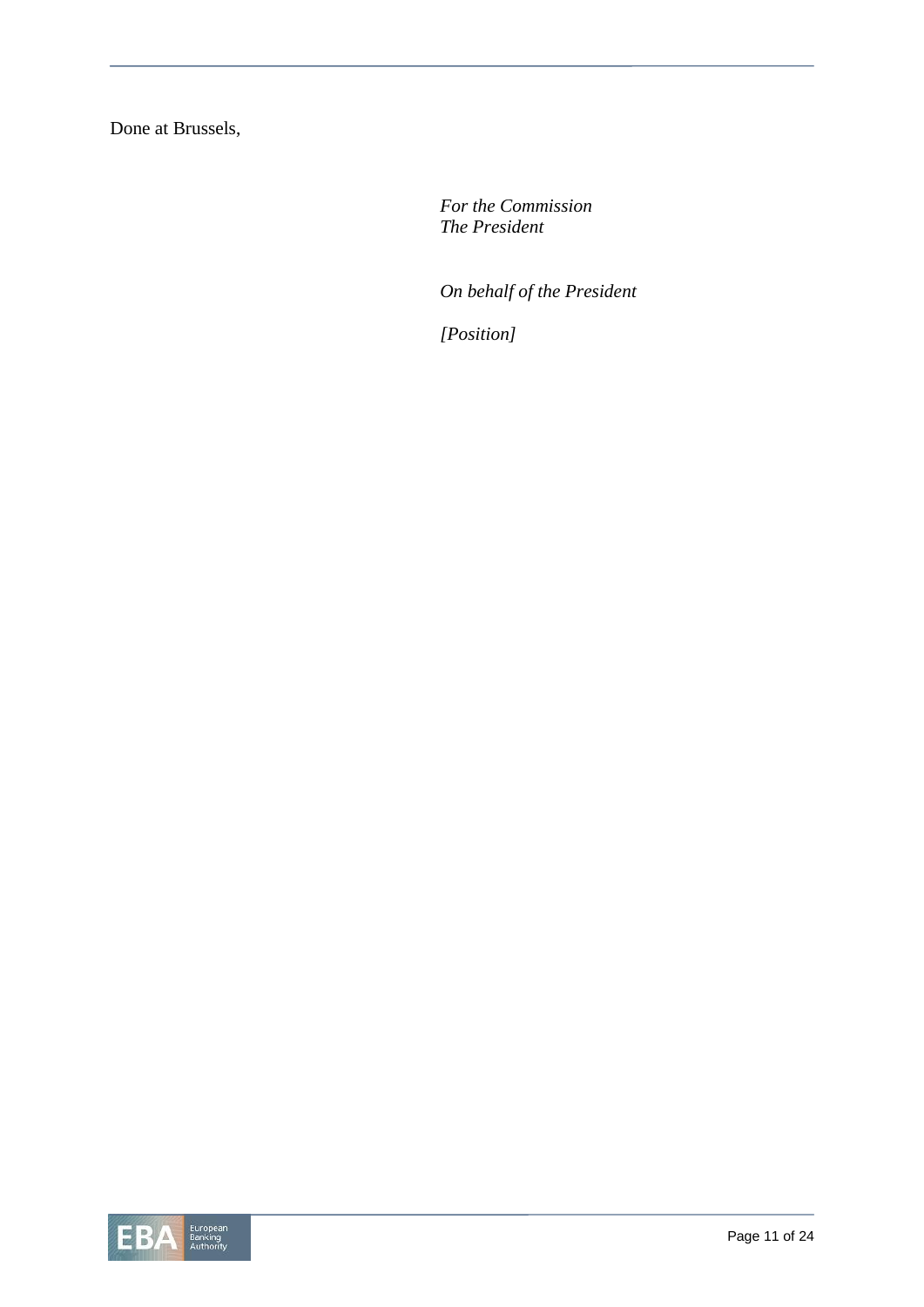Done at Brussels,

*For the Commission The President*

*On behalf of the President*

*[Position]*

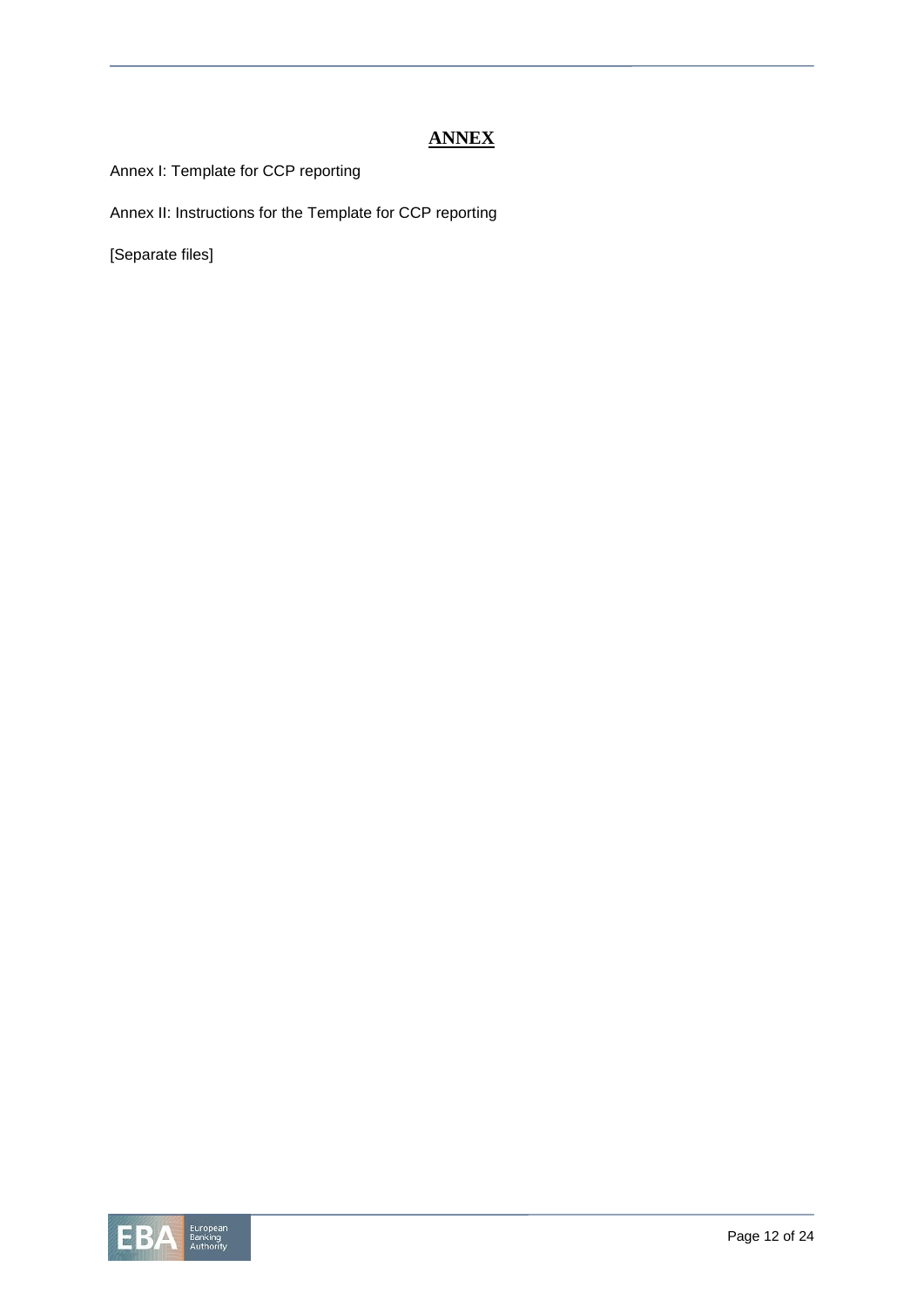# **ANNEX**

Annex I: Template for CCP reporting

Annex II: Instructions for the Template for CCP reporting

[Separate files]

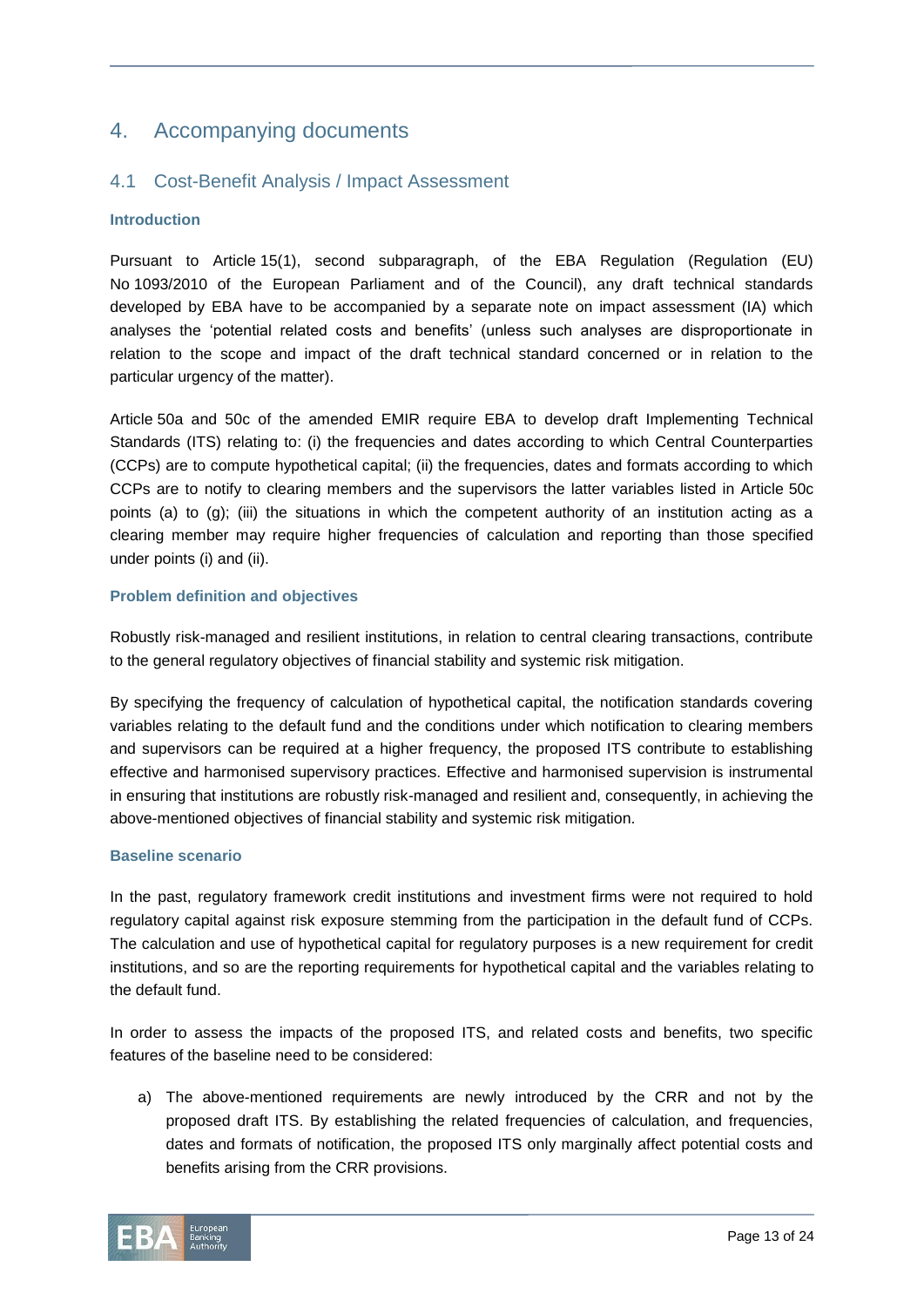# 4. Accompanying documents

# 4.1 Cost-Benefit Analysis / Impact Assessment

#### **Introduction**

Pursuant to Article 15(1), second subparagraph, of the EBA Regulation (Regulation (EU) No 1093/2010 of the European Parliament and of the Council), any draft technical standards developed by EBA have to be accompanied by a separate note on impact assessment (IA) which analyses the 'potential related costs and benefits' (unless such analyses are disproportionate in relation to the scope and impact of the draft technical standard concerned or in relation to the particular urgency of the matter).

Article 50a and 50c of the amended EMIR require EBA to develop draft Implementing Technical Standards (ITS) relating to: (i) the frequencies and dates according to which Central Counterparties (CCPs) are to compute hypothetical capital; (ii) the frequencies, dates and formats according to which CCPs are to notify to clearing members and the supervisors the latter variables listed in Article 50c points (a) to (g); (iii) the situations in which the competent authority of an institution acting as a clearing member may require higher frequencies of calculation and reporting than those specified under points (i) and (ii).

### **Problem definition and objectives**

Robustly risk-managed and resilient institutions, in relation to central clearing transactions, contribute to the general regulatory objectives of financial stability and systemic risk mitigation.

By specifying the frequency of calculation of hypothetical capital, the notification standards covering variables relating to the default fund and the conditions under which notification to clearing members and supervisors can be required at a higher frequency, the proposed ITS contribute to establishing effective and harmonised supervisory practices. Effective and harmonised supervision is instrumental in ensuring that institutions are robustly risk-managed and resilient and, consequently, in achieving the above-mentioned objectives of financial stability and systemic risk mitigation.

#### **Baseline scenario**

In the past, regulatory framework credit institutions and investment firms were not required to hold regulatory capital against risk exposure stemming from the participation in the default fund of CCPs. The calculation and use of hypothetical capital for regulatory purposes is a new requirement for credit institutions, and so are the reporting requirements for hypothetical capital and the variables relating to the default fund.

In order to assess the impacts of the proposed ITS, and related costs and benefits, two specific features of the baseline need to be considered:

a) The above-mentioned requirements are newly introduced by the CRR and not by the proposed draft ITS. By establishing the related frequencies of calculation, and frequencies, dates and formats of notification, the proposed ITS only marginally affect potential costs and benefits arising from the CRR provisions.

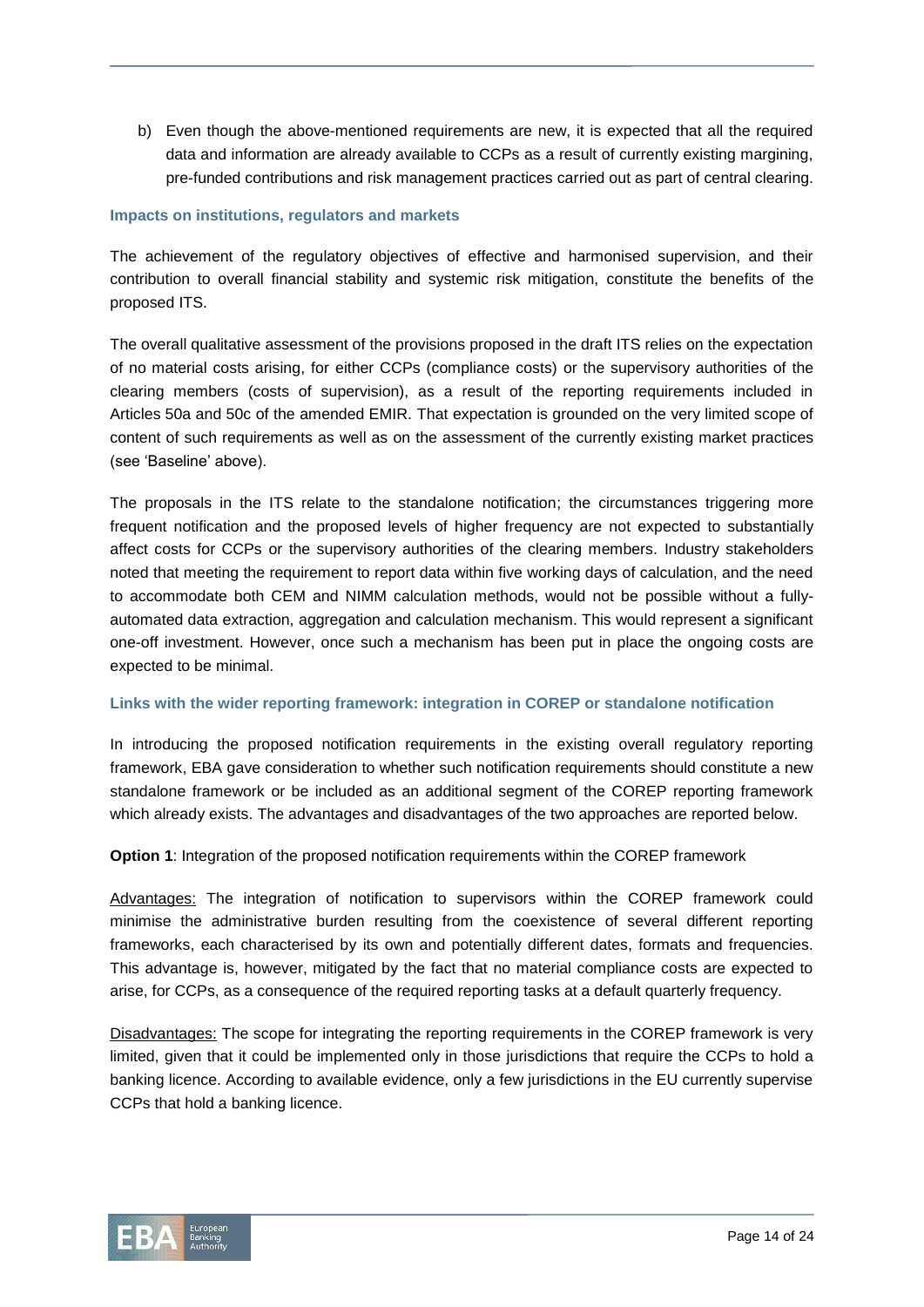b) Even though the above-mentioned requirements are new, it is expected that all the required data and information are already available to CCPs as a result of currently existing margining, pre-funded contributions and risk management practices carried out as part of central clearing.

#### **Impacts on institutions, regulators and markets**

The achievement of the regulatory objectives of effective and harmonised supervision, and their contribution to overall financial stability and systemic risk mitigation, constitute the benefits of the proposed ITS.

The overall qualitative assessment of the provisions proposed in the draft ITS relies on the expectation of no material costs arising, for either CCPs (compliance costs) or the supervisory authorities of the clearing members (costs of supervision), as a result of the reporting requirements included in Articles 50a and 50c of the amended EMIR. That expectation is grounded on the very limited scope of content of such requirements as well as on the assessment of the currently existing market practices (see 'Baseline' above).

The proposals in the ITS relate to the standalone notification; the circumstances triggering more frequent notification and the proposed levels of higher frequency are not expected to substantially affect costs for CCPs or the supervisory authorities of the clearing members. Industry stakeholders noted that meeting the requirement to report data within five working days of calculation, and the need to accommodate both CEM and NIMM calculation methods, would not be possible without a fullyautomated data extraction, aggregation and calculation mechanism. This would represent a significant one-off investment. However, once such a mechanism has been put in place the ongoing costs are expected to be minimal.

#### **Links with the wider reporting framework: integration in COREP or standalone notification**

In introducing the proposed notification requirements in the existing overall regulatory reporting framework, EBA gave consideration to whether such notification requirements should constitute a new standalone framework or be included as an additional segment of the COREP reporting framework which already exists. The advantages and disadvantages of the two approaches are reported below.

**Option 1**: Integration of the proposed notification requirements within the COREP framework

Advantages: The integration of notification to supervisors within the COREP framework could minimise the administrative burden resulting from the coexistence of several different reporting frameworks, each characterised by its own and potentially different dates, formats and frequencies. This advantage is, however, mitigated by the fact that no material compliance costs are expected to arise, for CCPs, as a consequence of the required reporting tasks at a default quarterly frequency.

Disadvantages: The scope for integrating the reporting requirements in the COREP framework is very limited, given that it could be implemented only in those jurisdictions that require the CCPs to hold a banking licence. According to available evidence, only a few jurisdictions in the EU currently supervise CCPs that hold a banking licence.

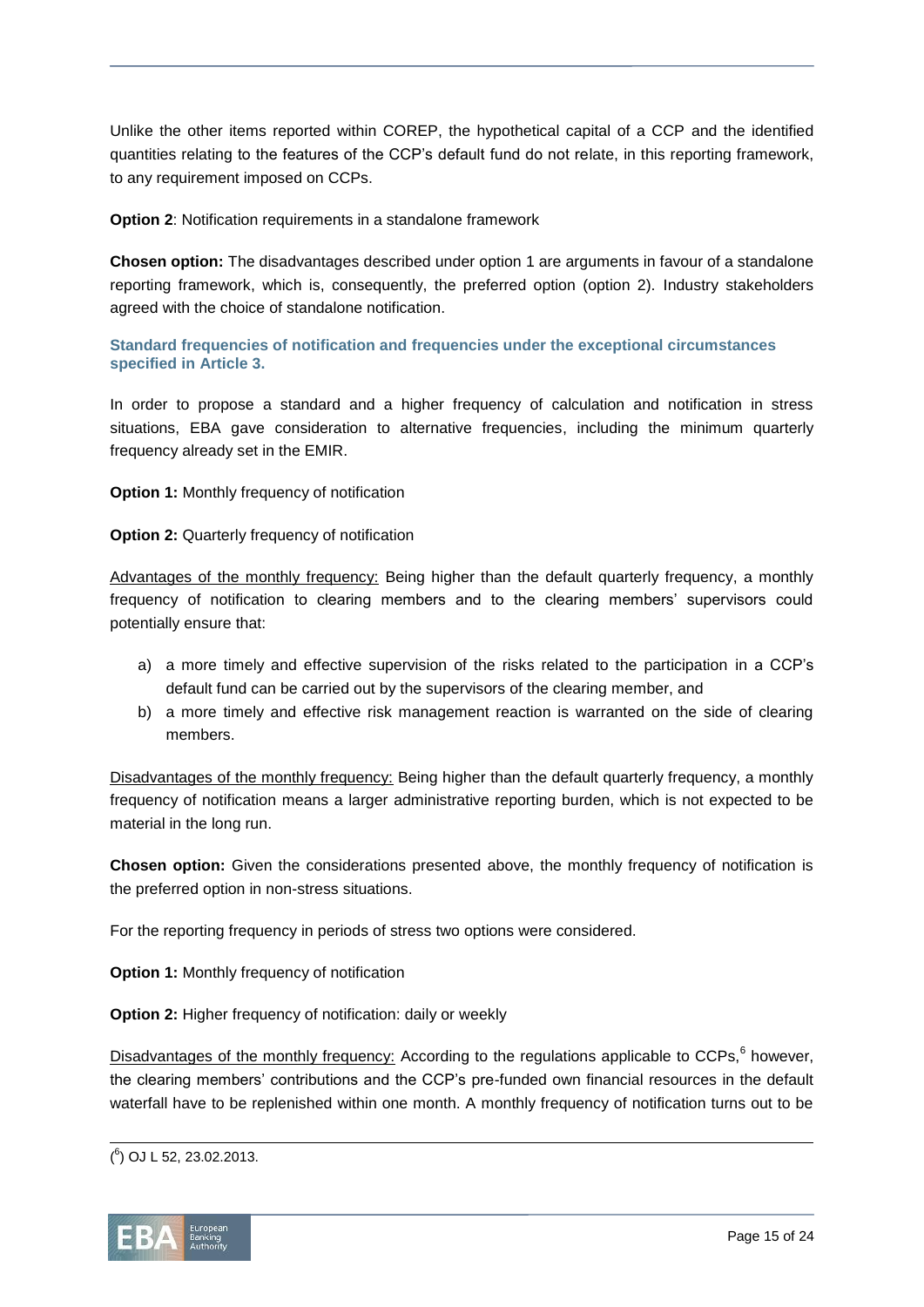Unlike the other items reported within COREP, the hypothetical capital of a CCP and the identified quantities relating to the features of the CCP's default fund do not relate, in this reporting framework, to any requirement imposed on CCPs.

#### **Option 2**: Notification requirements in a standalone framework

**Chosen option:** The disadvantages described under option 1 are arguments in favour of a standalone reporting framework, which is, consequently, the preferred option (option 2). Industry stakeholders agreed with the choice of standalone notification.

### **Standard frequencies of notification and frequencies under the exceptional circumstances specified in Article 3.**

In order to propose a standard and a higher frequency of calculation and notification in stress situations, EBA gave consideration to alternative frequencies, including the minimum quarterly frequency already set in the EMIR.

### **Option 1:** Monthly frequency of notification

### **Option 2: Quarterly frequency of notification**

Advantages of the monthly frequency: Being higher than the default quarterly frequency, a monthly frequency of notification to clearing members and to the clearing members' supervisors could potentially ensure that:

- a) a more timely and effective supervision of the risks related to the participation in a CCP's default fund can be carried out by the supervisors of the clearing member, and
- b) a more timely and effective risk management reaction is warranted on the side of clearing members.

Disadvantages of the monthly frequency: Being higher than the default quarterly frequency, a monthly frequency of notification means a larger administrative reporting burden, which is not expected to be material in the long run.

**Chosen option:** Given the considerations presented above, the monthly frequency of notification is the preferred option in non-stress situations.

For the reporting frequency in periods of stress two options were considered.

**Option 1:** Monthly frequency of notification

**Option 2:** Higher frequency of notification: daily or weekly

Disadvantages of the monthly frequency: According to the regulations applicable to CCPs, <sup>6</sup> however, the clearing members' contributions and the CCP's pre-funded own financial resources in the default waterfall have to be replenished within one month. A monthly frequency of notification turns out to be

l ( 6 ) OJ L 52, 23.02.2013.

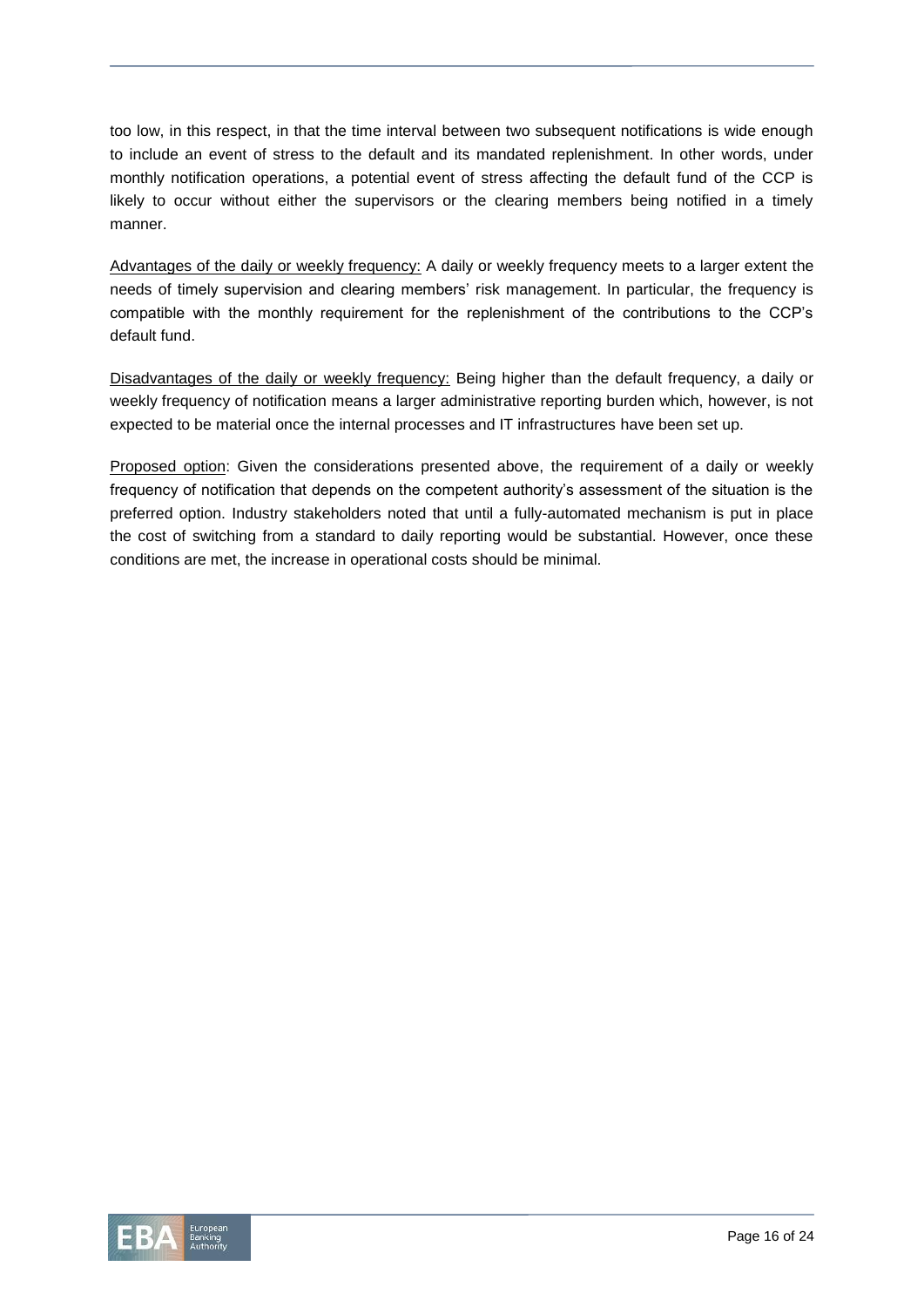too low, in this respect, in that the time interval between two subsequent notifications is wide enough to include an event of stress to the default and its mandated replenishment. In other words, under monthly notification operations, a potential event of stress affecting the default fund of the CCP is likely to occur without either the supervisors or the clearing members being notified in a timely manner.

Advantages of the daily or weekly frequency: A daily or weekly frequency meets to a larger extent the needs of timely supervision and clearing members' risk management. In particular, the frequency is compatible with the monthly requirement for the replenishment of the contributions to the CCP's default fund.

Disadvantages of the daily or weekly frequency: Being higher than the default frequency, a daily or weekly frequency of notification means a larger administrative reporting burden which, however, is not expected to be material once the internal processes and IT infrastructures have been set up.

Proposed option: Given the considerations presented above, the requirement of a daily or weekly frequency of notification that depends on the competent authority's assessment of the situation is the preferred option. Industry stakeholders noted that until a fully-automated mechanism is put in place the cost of switching from a standard to daily reporting would be substantial. However, once these conditions are met, the increase in operational costs should be minimal.

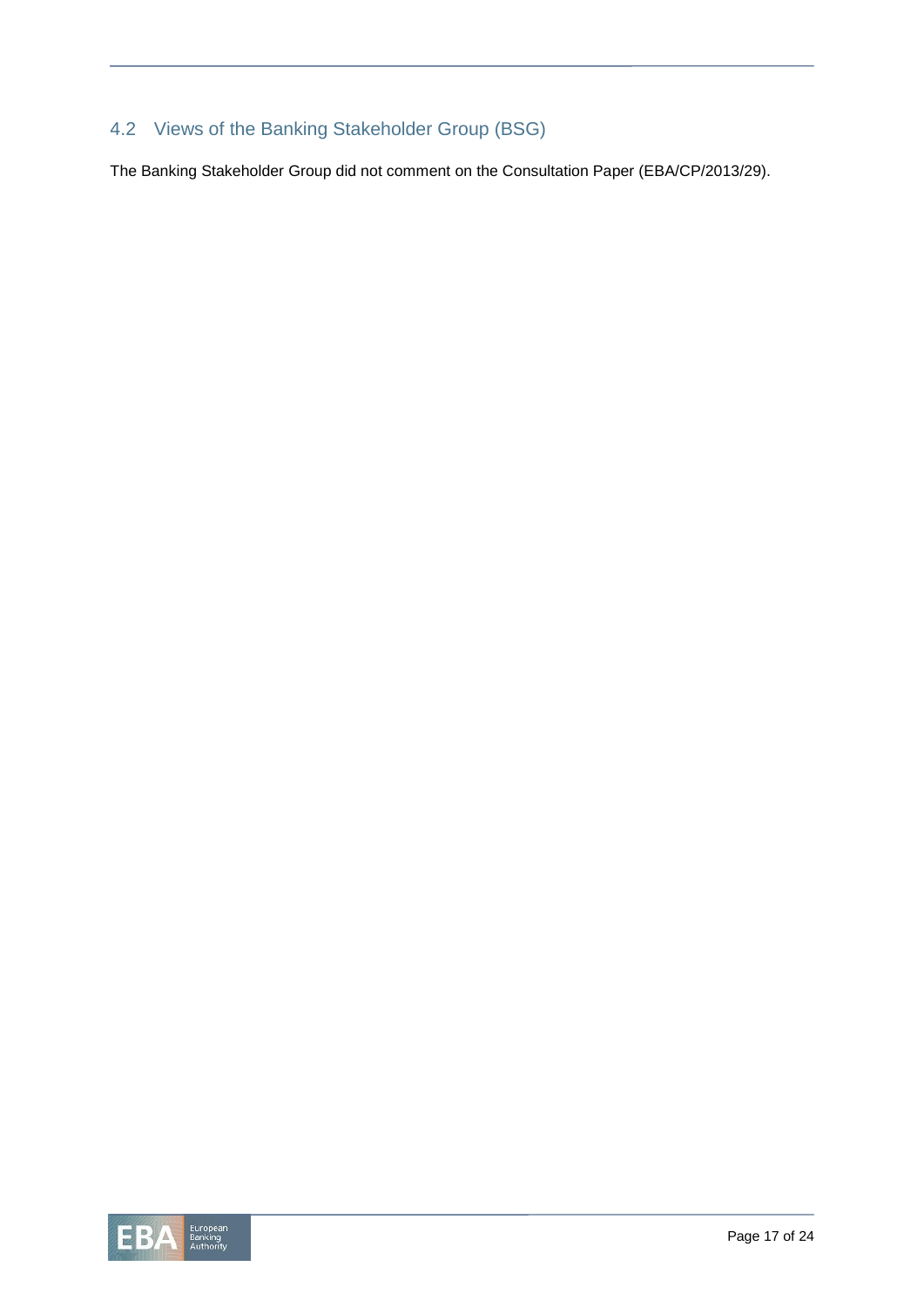# 4.2 Views of the Banking Stakeholder Group (BSG)

The Banking Stakeholder Group did not comment on the Consultation Paper (EBA/CP/2013/29).

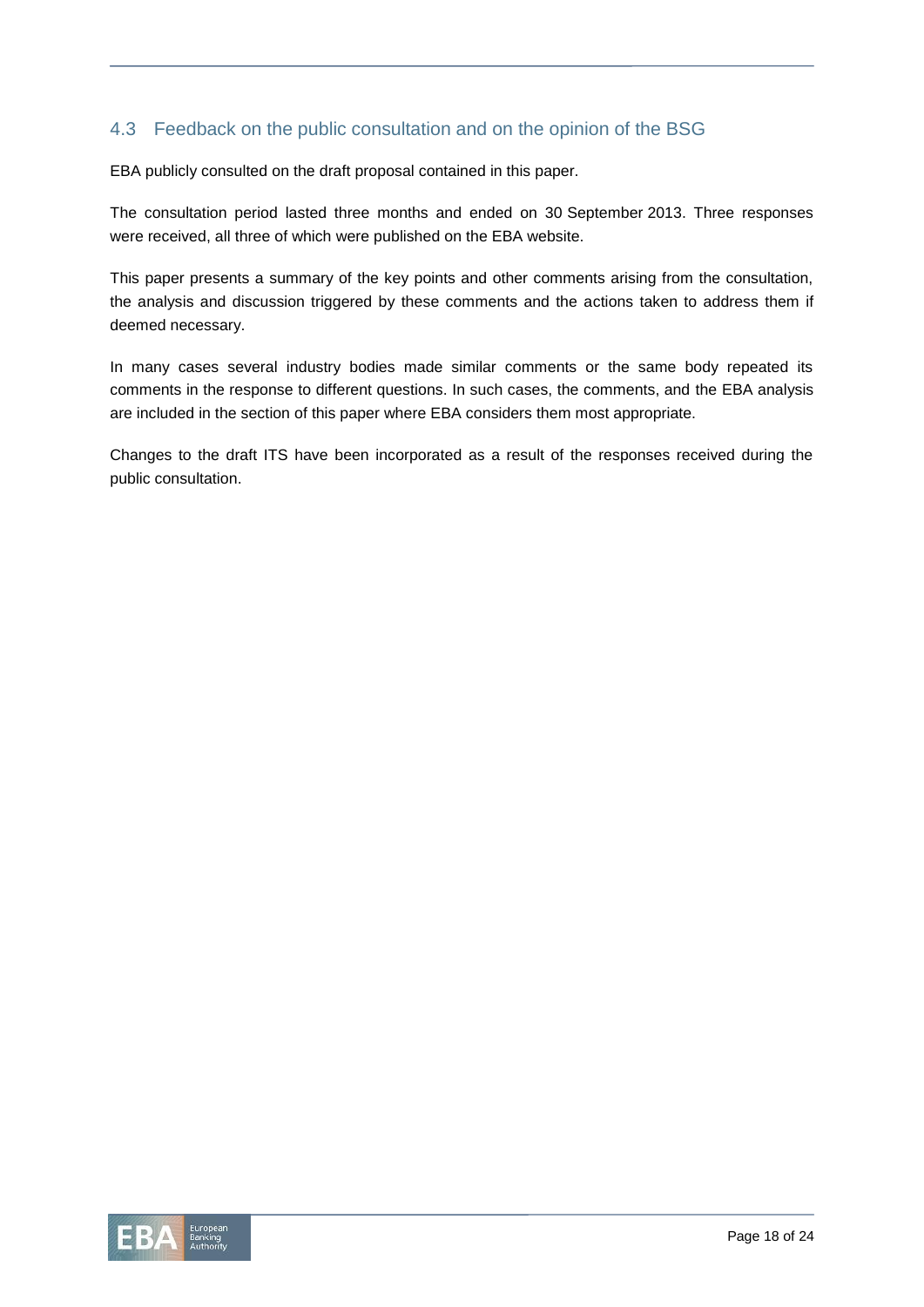# 4.3 Feedback on the public consultation and on the opinion of the BSG

EBA publicly consulted on the draft proposal contained in this paper.

The consultation period lasted three months and ended on 30 September 2013. Three responses were received, all three of which were published on the EBA website.

This paper presents a summary of the key points and other comments arising from the consultation, the analysis and discussion triggered by these comments and the actions taken to address them if deemed necessary.

In many cases several industry bodies made similar comments or the same body repeated its comments in the response to different questions. In such cases, the comments, and the EBA analysis are included in the section of this paper where EBA considers them most appropriate.

Changes to the draft ITS have been incorporated as a result of the responses received during the public consultation.

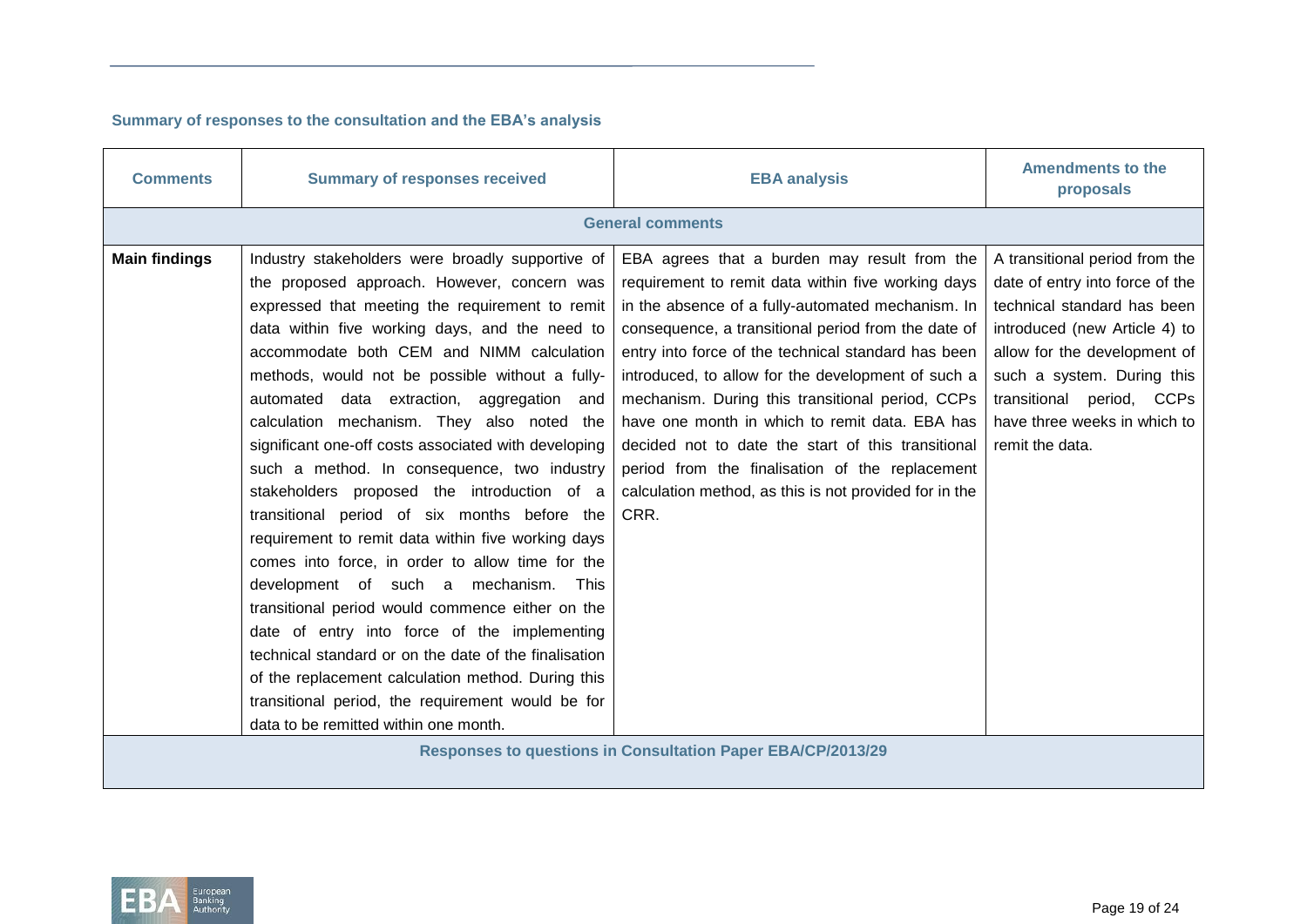### **Summary of responses to the consultation and the EBA's analysis**

| <b>Comments</b>                                                    | <b>Summary of responses received</b>                                                                                                                                                                                                                                                                                                                                                                                                                                                                                                                                                                                                                                                                                                                                                                                                                                                                                                                                                                                                                                          | <b>EBA analysis</b>                                                                                                                                                                                                                                                                                                                                                                                                                                                                                                                                                                                          | <b>Amendments to the</b><br>proposals                                                                                                                                                                                                                                           |  |  |
|--------------------------------------------------------------------|-------------------------------------------------------------------------------------------------------------------------------------------------------------------------------------------------------------------------------------------------------------------------------------------------------------------------------------------------------------------------------------------------------------------------------------------------------------------------------------------------------------------------------------------------------------------------------------------------------------------------------------------------------------------------------------------------------------------------------------------------------------------------------------------------------------------------------------------------------------------------------------------------------------------------------------------------------------------------------------------------------------------------------------------------------------------------------|--------------------------------------------------------------------------------------------------------------------------------------------------------------------------------------------------------------------------------------------------------------------------------------------------------------------------------------------------------------------------------------------------------------------------------------------------------------------------------------------------------------------------------------------------------------------------------------------------------------|---------------------------------------------------------------------------------------------------------------------------------------------------------------------------------------------------------------------------------------------------------------------------------|--|--|
|                                                                    | <b>General comments</b>                                                                                                                                                                                                                                                                                                                                                                                                                                                                                                                                                                                                                                                                                                                                                                                                                                                                                                                                                                                                                                                       |                                                                                                                                                                                                                                                                                                                                                                                                                                                                                                                                                                                                              |                                                                                                                                                                                                                                                                                 |  |  |
| <b>Main findings</b>                                               | Industry stakeholders were broadly supportive of<br>the proposed approach. However, concern was<br>expressed that meeting the requirement to remit<br>data within five working days, and the need to<br>accommodate both CEM and NIMM calculation<br>methods, would not be possible without a fully-<br>automated data extraction, aggregation and<br>calculation mechanism. They also noted the<br>significant one-off costs associated with developing<br>such a method. In consequence, two industry<br>stakeholders proposed the introduction of a<br>transitional period of six months before the<br>requirement to remit data within five working days<br>comes into force, in order to allow time for the<br>development of such a mechanism.<br>This<br>transitional period would commence either on the<br>date of entry into force of the implementing<br>technical standard or on the date of the finalisation<br>of the replacement calculation method. During this<br>transitional period, the requirement would be for<br>data to be remitted within one month. | EBA agrees that a burden may result from the<br>requirement to remit data within five working days<br>in the absence of a fully-automated mechanism. In<br>consequence, a transitional period from the date of<br>entry into force of the technical standard has been<br>introduced, to allow for the development of such a<br>mechanism. During this transitional period, CCPs<br>have one month in which to remit data. EBA has<br>decided not to date the start of this transitional<br>period from the finalisation of the replacement<br>calculation method, as this is not provided for in the<br>CRR. | A transitional period from the<br>date of entry into force of the<br>technical standard has been<br>introduced (new Article 4) to<br>allow for the development of<br>such a system. During this<br>transitional period, CCPs<br>have three weeks in which to<br>remit the data. |  |  |
| <b>Responses to questions in Consultation Paper EBA/CP/2013/29</b> |                                                                                                                                                                                                                                                                                                                                                                                                                                                                                                                                                                                                                                                                                                                                                                                                                                                                                                                                                                                                                                                                               |                                                                                                                                                                                                                                                                                                                                                                                                                                                                                                                                                                                                              |                                                                                                                                                                                                                                                                                 |  |  |

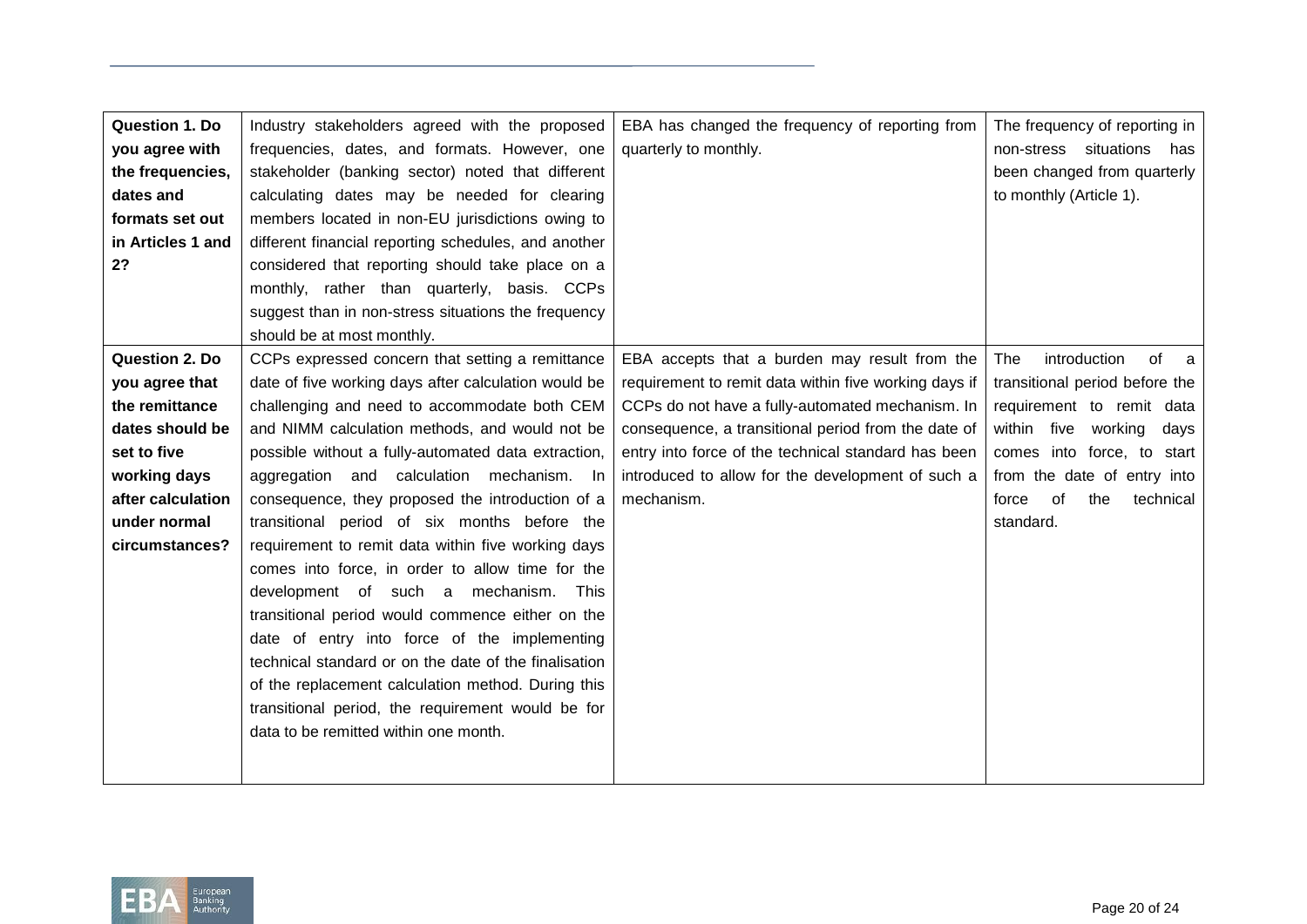| <b>Question 1. Do</b> | Industry stakeholders agreed with the proposed        | EBA has changed the frequency of reporting from       | The frequency of reporting in    |
|-----------------------|-------------------------------------------------------|-------------------------------------------------------|----------------------------------|
| you agree with        | frequencies, dates, and formats. However, one         | quarterly to monthly.                                 | non-stress situations<br>has     |
| the frequencies,      | stakeholder (banking sector) noted that different     |                                                       | been changed from quarterly      |
| dates and             | calculating dates may be needed for clearing          |                                                       | to monthly (Article 1).          |
| formats set out       | members located in non-EU jurisdictions owing to      |                                                       |                                  |
| in Articles 1 and     | different financial reporting schedules, and another  |                                                       |                                  |
| 2?                    | considered that reporting should take place on a      |                                                       |                                  |
|                       | monthly, rather than quarterly, basis. CCPs           |                                                       |                                  |
|                       | suggest than in non-stress situations the frequency   |                                                       |                                  |
|                       | should be at most monthly.                            |                                                       |                                  |
| <b>Question 2. Do</b> | CCPs expressed concern that setting a remittance      | EBA accepts that a burden may result from the         | introduction<br>of<br>The<br>- a |
| you agree that        | date of five working days after calculation would be  | requirement to remit data within five working days if | transitional period before the   |
| the remittance        | challenging and need to accommodate both CEM          | CCPs do not have a fully-automated mechanism. In      | requirement to remit data        |
| dates should be       | and NIMM calculation methods, and would not be        | consequence, a transitional period from the date of   | within five working<br>days      |
| set to five           | possible without a fully-automated data extraction,   | entry into force of the technical standard has been   | comes into force, to start       |
| working days          | aggregation and calculation mechanism. In             | introduced to allow for the development of such a     | from the date of entry into      |
| after calculation     | consequence, they proposed the introduction of a      | mechanism.                                            | of<br>technical<br>the<br>force  |
| under normal          | transitional period of six months before the          |                                                       | standard.                        |
| circumstances?        | requirement to remit data within five working days    |                                                       |                                  |
|                       | comes into force, in order to allow time for the      |                                                       |                                  |
|                       | development of such a mechanism.<br>This              |                                                       |                                  |
|                       | transitional period would commence either on the      |                                                       |                                  |
|                       | date of entry into force of the implementing          |                                                       |                                  |
|                       | technical standard or on the date of the finalisation |                                                       |                                  |
|                       | of the replacement calculation method. During this    |                                                       |                                  |
|                       | transitional period, the requirement would be for     |                                                       |                                  |
|                       | data to be remitted within one month.                 |                                                       |                                  |
|                       |                                                       |                                                       |                                  |
|                       |                                                       |                                                       |                                  |

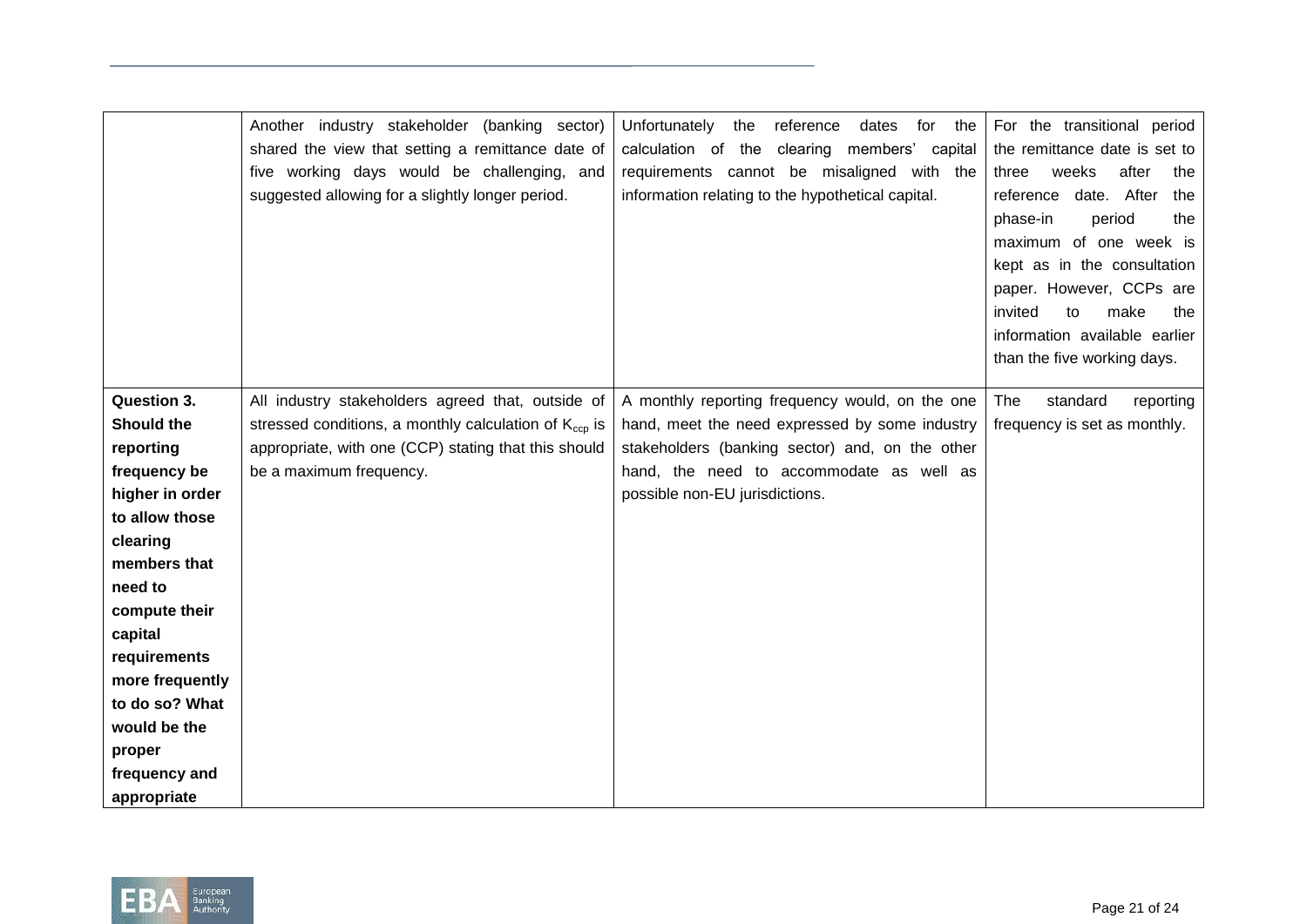|                                   | Another industry stakeholder (banking sector)<br>shared the view that setting a remittance date of<br>five working days would be challenging, and<br>suggested allowing for a slightly longer period. | Unfortunately<br>the<br>reference<br>dates<br>for<br>the<br>calculation of the<br>clearing members'<br>capital<br>requirements cannot be misaligned with the<br>information relating to the hypothetical capital. | For the transitional period<br>the remittance date is set to<br>weeks<br>after<br>the<br>three<br>date. After<br>the<br>reference<br>phase-in<br>period<br>the<br>maximum of one week is<br>kept as in the consultation<br>paper. However, CCPs are<br>invited<br>make<br>to<br>the<br>information available earlier<br>than the five working days. |
|-----------------------------------|-------------------------------------------------------------------------------------------------------------------------------------------------------------------------------------------------------|-------------------------------------------------------------------------------------------------------------------------------------------------------------------------------------------------------------------|-----------------------------------------------------------------------------------------------------------------------------------------------------------------------------------------------------------------------------------------------------------------------------------------------------------------------------------------------------|
| <b>Question 3.</b>                | All industry stakeholders agreed that, outside of                                                                                                                                                     | A monthly reporting frequency would, on the one                                                                                                                                                                   | The<br>standard<br>reporting                                                                                                                                                                                                                                                                                                                        |
| <b>Should the</b>                 | stressed conditions, a monthly calculation of $K_{cc}$ is                                                                                                                                             | hand, meet the need expressed by some industry                                                                                                                                                                    | frequency is set as monthly.                                                                                                                                                                                                                                                                                                                        |
| reporting                         | appropriate, with one (CCP) stating that this should                                                                                                                                                  | stakeholders (banking sector) and, on the other                                                                                                                                                                   |                                                                                                                                                                                                                                                                                                                                                     |
| frequency be                      | be a maximum frequency.                                                                                                                                                                               | hand, the need to accommodate as well as                                                                                                                                                                          |                                                                                                                                                                                                                                                                                                                                                     |
| higher in order                   |                                                                                                                                                                                                       | possible non-EU jurisdictions.                                                                                                                                                                                    |                                                                                                                                                                                                                                                                                                                                                     |
| to allow those                    |                                                                                                                                                                                                       |                                                                                                                                                                                                                   |                                                                                                                                                                                                                                                                                                                                                     |
| clearing                          |                                                                                                                                                                                                       |                                                                                                                                                                                                                   |                                                                                                                                                                                                                                                                                                                                                     |
| members that                      |                                                                                                                                                                                                       |                                                                                                                                                                                                                   |                                                                                                                                                                                                                                                                                                                                                     |
| need to                           |                                                                                                                                                                                                       |                                                                                                                                                                                                                   |                                                                                                                                                                                                                                                                                                                                                     |
| compute their                     |                                                                                                                                                                                                       |                                                                                                                                                                                                                   |                                                                                                                                                                                                                                                                                                                                                     |
| capital                           |                                                                                                                                                                                                       |                                                                                                                                                                                                                   |                                                                                                                                                                                                                                                                                                                                                     |
| requirements                      |                                                                                                                                                                                                       |                                                                                                                                                                                                                   |                                                                                                                                                                                                                                                                                                                                                     |
| more frequently<br>to do so? What |                                                                                                                                                                                                       |                                                                                                                                                                                                                   |                                                                                                                                                                                                                                                                                                                                                     |
| would be the                      |                                                                                                                                                                                                       |                                                                                                                                                                                                                   |                                                                                                                                                                                                                                                                                                                                                     |
| proper                            |                                                                                                                                                                                                       |                                                                                                                                                                                                                   |                                                                                                                                                                                                                                                                                                                                                     |
| frequency and                     |                                                                                                                                                                                                       |                                                                                                                                                                                                                   |                                                                                                                                                                                                                                                                                                                                                     |
| appropriate                       |                                                                                                                                                                                                       |                                                                                                                                                                                                                   |                                                                                                                                                                                                                                                                                                                                                     |

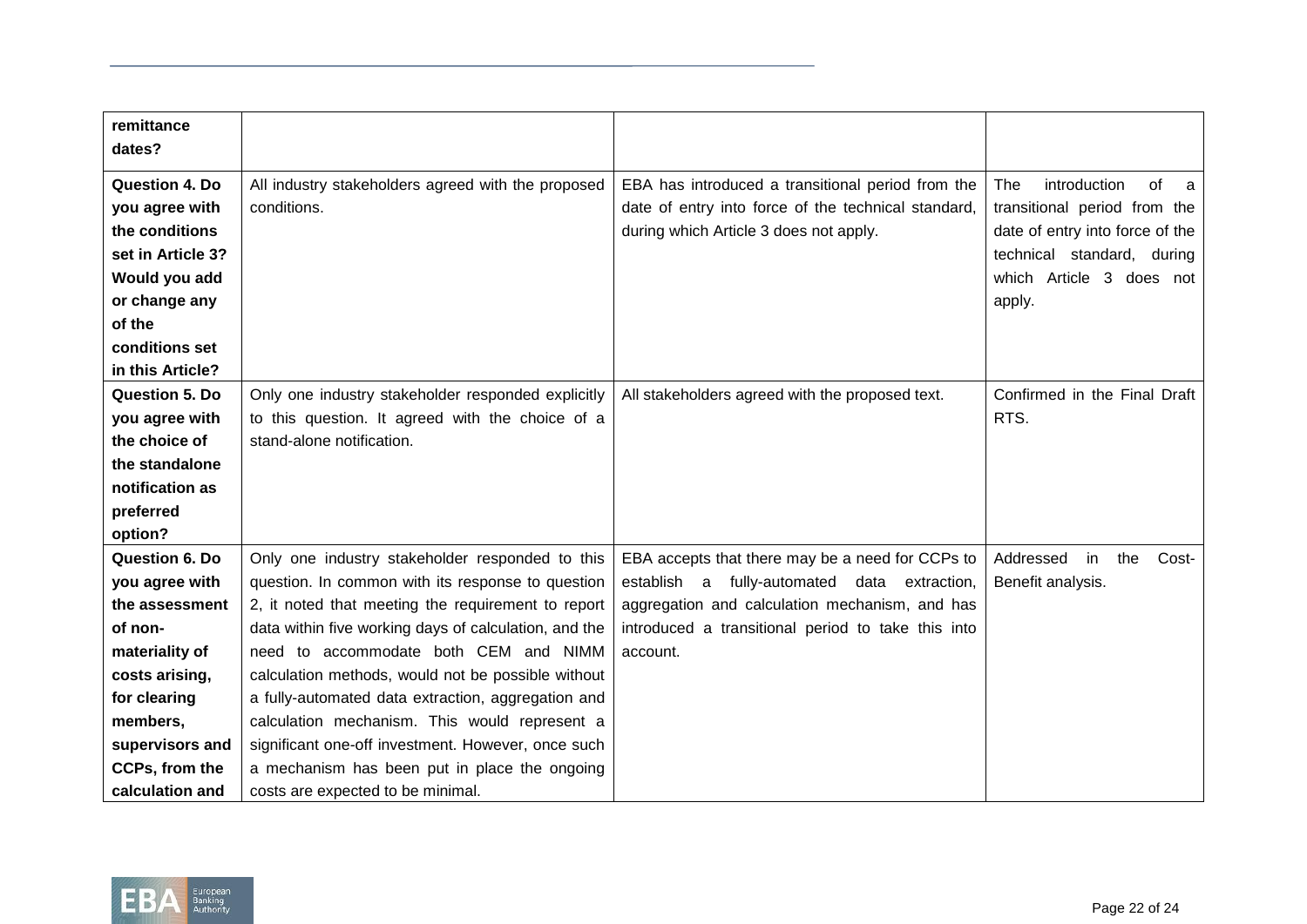| remittance            |                                                       |                                                     |                                 |
|-----------------------|-------------------------------------------------------|-----------------------------------------------------|---------------------------------|
| dates?                |                                                       |                                                     |                                 |
| <b>Question 4. Do</b> | All industry stakeholders agreed with the proposed    | EBA has introduced a transitional period from the   | of<br>introduction<br>The<br>a  |
| you agree with        | conditions.                                           | date of entry into force of the technical standard, | transitional period from the    |
| the conditions        |                                                       | during which Article 3 does not apply.              | date of entry into force of the |
| set in Article 3?     |                                                       |                                                     | technical standard, during      |
| Would you add         |                                                       |                                                     | which Article 3<br>does not     |
| or change any         |                                                       |                                                     | apply.                          |
| of the                |                                                       |                                                     |                                 |
| conditions set        |                                                       |                                                     |                                 |
| in this Article?      |                                                       |                                                     |                                 |
| Question 5. Do        | Only one industry stakeholder responded explicitly    | All stakeholders agreed with the proposed text.     | Confirmed in the Final Draft    |
| you agree with        | to this question. It agreed with the choice of a      |                                                     | RTS.                            |
| the choice of         | stand-alone notification.                             |                                                     |                                 |
| the standalone        |                                                       |                                                     |                                 |
| notification as       |                                                       |                                                     |                                 |
| preferred             |                                                       |                                                     |                                 |
| option?               |                                                       |                                                     |                                 |
| <b>Question 6. Do</b> | Only one industry stakeholder responded to this       | EBA accepts that there may be a need for CCPs to    | Addressed<br>the<br>in<br>Cost- |
| you agree with        | question. In common with its response to question     | establish a fully-automated data extraction,        | Benefit analysis.               |
| the assessment        | 2, it noted that meeting the requirement to report    | aggregation and calculation mechanism, and has      |                                 |
| of non-               | data within five working days of calculation, and the | introduced a transitional period to take this into  |                                 |
| materiality of        | need to accommodate both CEM and NIMM                 | account.                                            |                                 |
| costs arising,        | calculation methods, would not be possible without    |                                                     |                                 |
| for clearing          | a fully-automated data extraction, aggregation and    |                                                     |                                 |
| members,              | calculation mechanism. This would represent a         |                                                     |                                 |
| supervisors and       | significant one-off investment. However, once such    |                                                     |                                 |
| CCPs, from the        | a mechanism has been put in place the ongoing         |                                                     |                                 |
| calculation and       | costs are expected to be minimal.                     |                                                     |                                 |

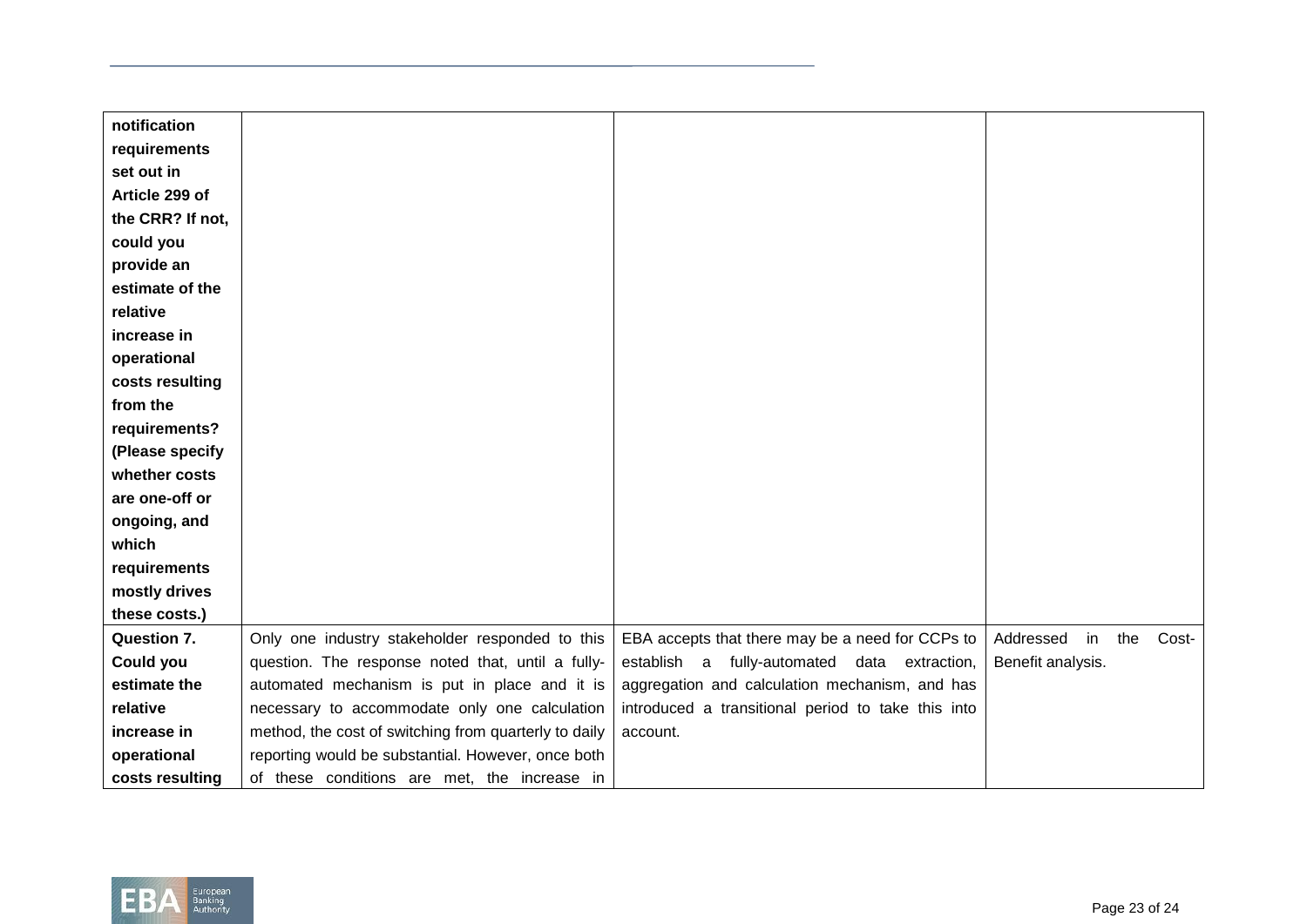| notification       |                                                       |                                                    |                                 |
|--------------------|-------------------------------------------------------|----------------------------------------------------|---------------------------------|
| requirements       |                                                       |                                                    |                                 |
| set out in         |                                                       |                                                    |                                 |
| Article 299 of     |                                                       |                                                    |                                 |
| the CRR? If not,   |                                                       |                                                    |                                 |
| could you          |                                                       |                                                    |                                 |
| provide an         |                                                       |                                                    |                                 |
| estimate of the    |                                                       |                                                    |                                 |
| relative           |                                                       |                                                    |                                 |
| increase in        |                                                       |                                                    |                                 |
| operational        |                                                       |                                                    |                                 |
| costs resulting    |                                                       |                                                    |                                 |
| from the           |                                                       |                                                    |                                 |
| requirements?      |                                                       |                                                    |                                 |
| (Please specify    |                                                       |                                                    |                                 |
| whether costs      |                                                       |                                                    |                                 |
| are one-off or     |                                                       |                                                    |                                 |
| ongoing, and       |                                                       |                                                    |                                 |
| which              |                                                       |                                                    |                                 |
| requirements       |                                                       |                                                    |                                 |
| mostly drives      |                                                       |                                                    |                                 |
| these costs.)      |                                                       |                                                    |                                 |
| <b>Question 7.</b> | Only one industry stakeholder responded to this       | EBA accepts that there may be a need for CCPs to   | Addressed<br>the<br>Cost-<br>in |
| Could you          | question. The response noted that, until a fully-     | establish a fully-automated data extraction,       | Benefit analysis.               |
| estimate the       | automated mechanism is put in place and it is         | aggregation and calculation mechanism, and has     |                                 |
| relative           | necessary to accommodate only one calculation         | introduced a transitional period to take this into |                                 |
| increase in        | method, the cost of switching from quarterly to daily | account.                                           |                                 |
| operational        | reporting would be substantial. However, once both    |                                                    |                                 |
| costs resulting    | of these conditions are met, the increase in          |                                                    |                                 |